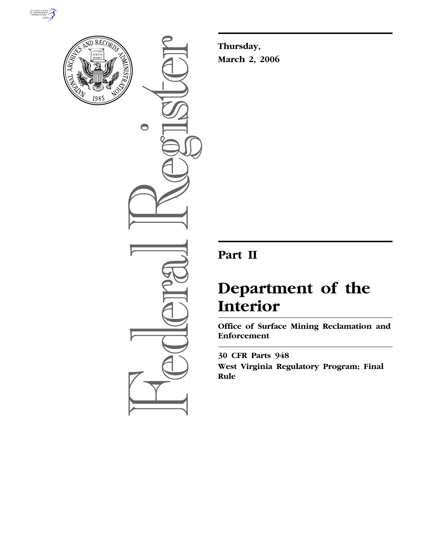



 $\bigcirc$ 

**Thursday, March 2, 2006** 

# **Part II**

# **Department of the Interior**

**Office of Surface Mining Reclamation and Enforcement** 

**30 CFR Parts 948 West Virginia Regulatory Program; Final Rule**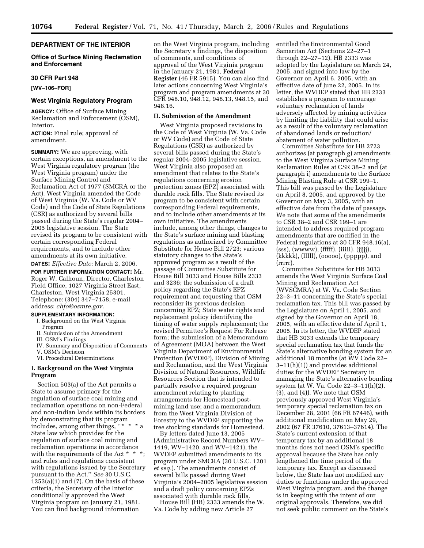# **DEPARTMENT OF THE INTERIOR**

#### **Office of Surface Mining Reclamation and Enforcement**

#### **30 CFR Part 948**

**[WV–106–FOR]** 

# **West Virginia Regulatory Program**

**AGENCY:** Office of Surface Mining Reclamation and Enforcement (OSM), Interior.

# **ACTION:** Final rule; approval of amendment.

**SUMMARY:** We are approving, with certain exceptions, an amendment to the West Virginia regulatory program (the West Virginia program) under the Surface Mining Control and Reclamation Act of 1977 (SMCRA or the Act). West Virginia amended the Code of West Virginia (W. Va. Code or WV Code) and the Code of State Regulations (CSR) as authorized by several bills passed during the State's regular 2004– 2005 legislative session. The State revised its program to be consistent with certain corresponding Federal requirements, and to include other amendments at its own initiative. **DATES:** *Effective Date:* March 2, 2006.

# **FOR FURTHER INFORMATION CONTACT:** Mr.

Roger W. Calhoun, Director, Charleston Field Office, 1027 Virginia Street East, Charleston, West Virginia 25301. Telephone: (304) 347–7158, e-mail address: *chfo@osmre.gov.* 

# **SUPPLEMENTARY INFORMATION:**

- I. Background on the West Virginia Program
- II. Submission of the Amendment
- III. OSM's Findings
- IV. Summary and Disposition of Comments
- V. OSM's Decision VI. Procedural Determinations

#### **I. Background on the West Virginia Program**

Section 503(a) of the Act permits a State to assume primacy for the regulation of surface coal mining and reclamation operations on non-Federal and non-Indian lands within its borders by demonstrating that its program includes, among other things, ''\* \* \* a State law which provides for the regulation of surface coal mining and reclamation operations in accordance with the requirements of the Act \* \* \*; and rules and regulations consistent with regulations issued by the Secretary pursuant to the Act.'' *See* 30 U.S.C.  $1253(a)(1)$  and  $(7)$ . On the basis of these criteria, the Secretary of the Interior conditionally approved the West Virginia program on January 21, 1981. You can find background information

on the West Virginia program, including the Secretary's findings, the disposition of comments, and conditions of approval of the West Virginia program in the January 21, 1981, **Federal Register** (46 FR 5915). You can also find later actions concerning West Virginia's program and program amendments at 30 CFR 948.10, 948.12, 948.13, 948.15, and 948.16.

#### **II. Submission of the Amendment**

West Virginia proposed revisions to the Code of West Virginia (W. Va. Code or WV Code) and the Code of State Regulations (CSR) as authorized by several bills passed during the State's regular 2004–2005 legislative session. West Virginia also proposed an amendment that relates to the State's regulations concerning erosion protection zones (EPZ) associated with durable rock fills. The State revised its program to be consistent with certain corresponding Federal requirements, and to include other amendments at its own initiative. The amendments include, among other things, changes to the State's surface mining and blasting regulations as authorized by Committee Substitute for House Bill 2723; various statutory changes to the State's approved program as a result of the passage of Committee Substitute for House Bill 3033 and House Bills 2333 and 3236; the submission of a draft policy regarding the State's EPZ requirement and requesting that OSM reconsider its previous decision concerning EPZ; State water rights and replacement policy identifying the timing of water supply replacement; the revised Permittee's Request For Release form; the submission of a Memorandum of Agreement (MOA) between the West Virginia Department of Environmental Protection (WVDEP), Division of Mining and Reclamation, and the West Virginia Division of Natural Resources, Wildlife Resources Section that is intended to partially resolve a required program amendment relating to planting arrangements for Homestead postmining land use; and a memorandum from the West Virginia Division of Forestry to the WVDEP supporting the tree stocking standards for Homestead.

By letters dated June 13, 2005 (Administrative Record Numbers WV– 1419, WV–1420, and WV–1421), the WVDEP submitted amendments to its program under SMCRA (30 U.S.C. 1201 *et seq.*). The amendments consist of several bills passed during West Virginia's 2004–2005 legislative session and a draft policy concerning EPZs associated with durable rock fills.

House Bill (HB) 2333 amends the W. Va. Code by adding new Article 27

entitled the Environmental Good Samaritan Act (Sections 22–27–1 through 22–27–12). HB 2333 was adopted by the Legislature on March 24, 2005, and signed into law by the Governor on April 6, 2005, with an effective date of June 22, 2005. In its letter, the WVDEP stated that HB 2333 establishes a program to encourage voluntary reclamation of lands adversely affected by mining activities by limiting the liability that could arise as a result of the voluntary reclamation of abandoned lands or reduction/ abatement of water pollution.

Committee Substitute for HB 2723 authorizes (at paragraph g) amendments to the West Virginia Surface Mining Reclamation Rules at CSR 38–2 and (at paragraph i) amendments to the Surface Mining Blasting Rule at CSR 199–1. This bill was passed by the Legislature on April 8, 2005, and approved by the Governor on May 3, 2005, with an effective date from the date of passage. We note that some of the amendments to CSR 38–2 and CSR 199–1 are intended to address required program amendments that are codified in the Federal regulations at 30 CFR 948.16(a),  $(sss)$ ,  $(wwww)$ ,  $(fifff)$ ,  $(iiiii)$ ,  $(iiiii)$ , (kkkkk), (lllll), (ooooo), (ppppp), and (rrrrr).

Committee Substitute for HB 3033 amends the West Virginia Surface Coal Mining and Reclamation Act (WVSCMRA) at W. Va. Code Section 22–3–11 concerning the State's special reclamation tax. This bill was passed by the Legislature on April 1, 2005, and signed by the Governor on April 18, 2005, with an effective date of April 1, 2005. In its letter, the WVDEP stated that HB 3033 extends the temporary special reclamation tax that funds the State's alternative bonding system for an additional 18 months (at WV Code 22– 3–11(h)(1)) and provides additional duties for the WVDEP Secretary in managing the State's alternative bonding system (at W. Va. Code 22–3–11(h)(2), (3), and (4)). We note that OSM previously approved West Virginia's temporary special reclamation tax on December 28, 2001 (66 FR 67446), with additional modification on May 29, 2002 (67 FR 37610, 37613–37614). The State's current extension of that temporary tax by an additional 18 months does not need OSM's specific approval because the State has only lengthened the time period of the temporary tax. Except as discussed below, the State has not modified any duties or functions under the approved West Virginia program, and the change is in keeping with the intent of our original approvals. Therefore, we did not seek public comment on the State's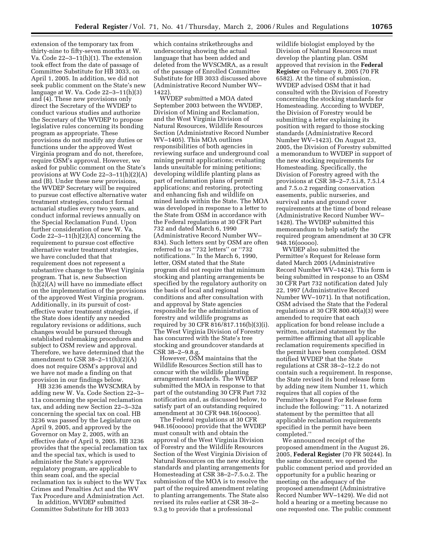extension of the temporary tax from thirty-nine to fifty-seven months at W. Va. Code 22–3–11(h)(1). The extension took effect from the date of passage of Committee Substitute for HB 3033, on April 1, 2005. In addition, we did not seek public comment on the State's new language at W. Va. Code 22–3–11(h)(3) and (4). These new provisions only direct the Secretary of the WVDEP to conduct various studies and authorize the Secretary of the WVDEP to propose legislative rules concerning its bonding program as appropriate. These provisions do not modify any duties or functions under the approved West Virginia program and do not, therefore, require OSM's approval. However, we asked for public comment on the State's provisions at WV Code 22–3–11(h)(2)(A) and (B). Under these new provisions, the WVDEP Secretary will be required to pursue cost effective alternative water treatment strategies, conduct formal actuarial studies every two years, and conduct informal reviews annually on the Special Reclamation Fund. Upon further consideration of new W. Va. Code 22–3–11(h)(2)(A) concerning the requirement to pursue cost effective alternative water treatment strategies, we have concluded that that requirement does not represent a substantive change to the West Virginia program. That is, new Subsection (h)(2)(A) will have no immediate effect on the implementation of the provisions of the approved West Virginia program. Additionally, in its pursuit of costeffective water treatment strategies, if the State does identify any needed regulatory revisions or additions, such changes would be pursued through established rulemaking procedures and subject to OSM review and approval. Therefore, we have determined that the amendment to CSR  $38-2-11(h)(2)(A)$ does not require OSM's approval and we have not made a finding on that provision in our findings below.

HB 3236 amends the WVSCMRA by adding new W. Va. Code Section 22–3– 11a concerning the special reclamation tax, and adding new Section 22–3–32a concerning the special tax on coal. HB 3236 was passed by the Legislature on April 9, 2005, and approved by the Governor on May 2, 2005, with an effective date of April 9, 2005. HB 3236 provides that the special reclamation tax and the special tax, which is used to administer the State's approved regulatory program, are applicable to thin seam coal, and the special reclamation tax is subject to the WV Tax Crimes and Penalties Act and the WV Tax Procedure and Administration Act.

In addition, WVDEP submitted Committee Substitute for HB 3033

which contains strikethroughs and underscoring showing the actual language that has been added and deleted from the WVSCMRA, as a result of the passage of Enrolled Committee Substitute for HB 3033 discussed above (Administrative Record Number WV– 1422).

WVDEP submitted a MOA dated September 2003 between the WVDEP, Division of Mining and Reclamation, and the West Virginia Division of Natural Resources, Wildlife Resources Section (Administrative Record Number WV–1405). This MOA outlines responsibilities of both agencies in reviewing surface and underground coal mining permit applications; evaluating lands unsuitable for mining petitions; developing wildlife planting plans as part of reclamation plans of permit applications; and restoring, protecting and enhancing fish and wildlife on mined lands within the State. The MOA was developed in response to a letter to the State from OSM in accordance with the Federal regulations at 30 CFR Part 732 and dated March 6, 1990 (Administrative Record Number WV– 834). Such letters sent by OSM are often referred to as ''732 letters'' or ''732 notifications.'' In the March 6, 1990, letter, OSM stated that the State program did not require that minimum stocking and planting arrangements be specified by the regulatory authority on the basis of local and regional conditions and after consultation with and approval by State agencies responsible for the administration of forestry and wildlife programs as required by 30 CFR 816/817.116(b)(3)(i). The West Virginia Division of Forestry has concurred with the State's tree stocking and groundcover standards at CSR 38–2–9.8.g.

However, OSM maintains that the Wildlife Resources Section still has to concur with the wildlife planting arrangement standards. The WVDEP submitted the MOA in response to that part of the outstanding 30 CFR Part 732 notification and, as discussed below, to satisfy part of an outstanding required amendment at 30 CFR 948.16(ooooo).

The Federal regulations at 30 CFR 948.16(ooooo) provide that the WVDEP must consult with and obtain the approval of the West Virginia Division of Forestry and the Wildlife Resources Section of the West Virginia Division of Natural Resources on the new stocking standards and planting arrangements for Homesteading at CSR 38–2–7.5.o.2. The submission of the MOA is to resolve the part of the required amendment relating to planting arrangements. The State also revised its rules earlier at CSR 38–2– 9.3.g to provide that a professional

wildlife biologist employed by the Division of Natural Resources must develop the planting plan. OSM approved that revision in the **Federal Register** on February 8, 2005 (70 FR 6582). At the time of submission, WVDEP advised OSM that it had consulted with the Division of Forestry concerning the stocking standards for Homesteading. According to WVDEP, the Division of Forestry would be submitting a letter explaining its position with regard to those stocking standards (Administrative Record Number WV–1423). On August 23, 2005, the Division of Forestry submitted a memorandum to WVDEP in support of the new stocking requirements for Homesteading. Specifically, the Division of Forestry agreed with the provisions at CSR 38–2–7.5.i.8, 7.5.l.4 and 7.5.o.2 regarding conservation easements, public nurseries, and survival rates and ground cover requirements at the time of bond release (Administrative Record Number WV– 1428). The WVDEP submitted this memorandum to help satisfy the required program amendment at 30 CFR 948.16(ooooo).

WVDEP also submitted the Permittee's Request for Release form dated March 2005 (Administrative Record Number WV–1424). This form is being submitted in response to an OSM 30 CFR Part 732 notification dated July 22, 1997 (Administrative Record Number WV–1071). In that notification, OSM advised the State that the Federal regulations at 30 CFR 800.40(a)(3) were amended to require that each application for bond release include a written, notarized statement by the permittee affirming that all applicable reclamation requirements specified in the permit have been completed. OSM notified WVDEP that the State regulations at CSR 38–2–12.2 do not contain such a requirement. In response, the State revised its bond release form by adding new item Number 11, which requires that all copies of the Permittee's Request For Release form include the following: ''11. A notarized statement by the permittee that all applicable reclamation requirements specified in the permit have been completed.''

We announced receipt of the proposed amendment in the August 26, 2005, **Federal Register** (70 FR 50244). In the same document, we opened the public comment period and provided an opportunity for a public hearing or meeting on the adequacy of the proposed amendment (Administrative Record Number WV–1429). We did not hold a hearing or a meeting because no one requested one. The public comment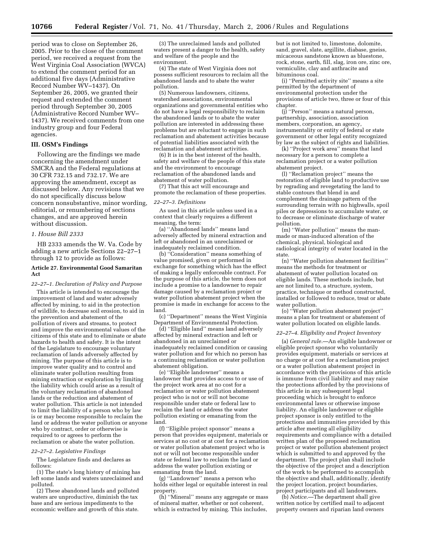period was to close on September 26, 2005. Prior to the close of the comment period, we received a request from the West Virginia Coal Association (WVCA) to extend the comment period for an additional five days (Administrative Record Number WV–1437). On September 26, 2005, we granted their request and extended the comment period through September 30, 2005 (Administrative Record Number WV– 1437). We received comments from one industry group and four Federal agencies.

# **III. OSM's Findings**

Following are the findings we made concerning the amendment under SMCRA and the Federal regulations at 30 CFR 732.15 and 732.17. We are approving the amendment, except as discussed below. Any revisions that we do not specifically discuss below concern nonsubstantive, minor wording, editorial, or renumbering of sections changes, and are approved herein without discussion.

#### *1. House Bill 2333*

HB 2333 amends the W. Va. Code by adding a new article Sections 22–27–1 through 12 to provide as follows:

#### **Article 27. Environmental Good Samaritan Act**

*22–27–1. Declaration of Policy and Purpose* 

This article is intended to encourage the improvement of land and water adversely affected by mining, to aid in the protection of wildlife, to decrease soil erosion, to aid in the prevention and abatement of the pollution of rivers and streams, to protect and improve the environmental values of the citizens of this state and to eliminate or abate hazards to health and safety. It is the intent of the Legislature to encourage voluntary reclamation of lands adversely affected by mining. The purpose of this article is to improve water quality and to control and eliminate water pollution resulting from mining extraction or exploration by limiting the liability which could arise as a result of the voluntary reclamation of abandoned lands or the reduction and abatement of water pollution. This article is not intended to limit the liability of a person who by law is or may become responsible to reclaim the land or address the water pollution or anyone who by contract, order or otherwise is required to or agrees to perform the reclamation or abate the water pollution.

#### *22–27–2. Legislative Findings*

The Legislature finds and declares as follows:

(1) The state's long history of mining has left some lands and waters unreclaimed and polluted.

(2) These abandoned lands and polluted waters are unproductive, diminish the tax base and are serious impediments to the economic welfare and growth of this state.

(3) The unreclaimed lands and polluted waters present a danger to the health, safety and welfare of the people and the environment.

(4) The state of West Virginia does not possess sufficient resources to reclaim all the abandoned lands and to abate the water pollution.

(5) Numerous landowners, citizens, watershed associations, environmental organizations and governmental entities who do not have a legal responsibility to reclaim the abandoned lands or to abate the water pollution are interested in addressing these problems but are reluctant to engage in such reclamation and abatement activities because of potential liabilities associated with the reclamation and abatement activities.

(6) It is in the best interest of the health, safety and welfare of the people of this state and the environment to encourage reclamation of the abandoned lands and abatement of water pollution.

(7) That this act will encourage and promote the reclamation of these properties.

#### *22–27–3. Definitions*

As used in this article unless used in a context that clearly requires a different meaning, the term:

(a) ''Abandoned lands'' means land adversely affected by mineral extraction and left or abandoned in an unreclaimed or inadequately reclaimed condition.

(b) ''Consideration'' means something of value promised, given or performed in exchange for something which has the effect of making a legally enforceable contract. For the purpose of this article, the term does not include a promise to a landowner to repair damage caused by a reclamation project or water pollution abatement project when the promise is made in exchange for access to the land.

(c) ''Department'' means the West Virginia Department of Environmental Protection.

(d) ''Eligible land'' means land adversely affected by mineral extraction and left or abandoned in an unreclaimed or inadequately reclaimed condition or causing water pollution and for which no person has a continuing reclamation or water pollution abatement obligation.

(e) ''Eligible landowner'' means a landowner that provides access to or use of the project work area at no cost for a reclamation or water pollution abatement project who is not or will not become responsible under state or federal law to reclaim the land or address the water pollution existing or emanating from the land.

(f) ''Eligible project sponsor'' means a person that provides equipment, materials or services at no cost or at cost for a reclamation or water pollution abatement project who is not or will not become responsible under state or federal law to reclaim the land or address the water pollution existing or emanating from the land.

(g) ''Landowner'' means a person who holds either legal or equitable interest in real property.

(h) ''Mineral'' means any aggregate or mass of mineral matter, whether or not coherent, which is extracted by mining. This includes,

but is not limited to, limestone, dolomite, sand, gravel, slate, argillite, diabase, gneiss, micaceous sandstone known as bluestone, rock, stone, earth, fill, slag, iron ore, zinc ore, vermiculite, clay and anthracite and bituminous coal.

(i) ''Permitted activity site'' means a site permitted by the department of environmental protection under the provisions of article two, three or four of this chapter.

(j) ''Person'' means a natural person, partnership, association, association members, corporation, an agency, instrumentality or entity of federal or state government or other legal entity recognized by law as the subject of rights and liabilities.

(k) ''Project work area'' means that land necessary for a person to complete a reclamation project or a water pollution abatement project.

(l) ''Reclamation project'' means the restoration of eligible land to productive use by regrading and revegetating the land to stable contours that blend in and complement the drainage pattern of the surrounding terrain with no highwalls, spoil piles or depressions to accumulate water, or to decrease or eliminate discharge of water pollution.

(m) ''Water pollution'' means the manmade or man-induced alteration of the chemical, physical, biological and radiological integrity of water located in the state.

(n) ''Water pollution abatement facilities'' means the methods for treatment or abatement of water pollution located on eligible lands. These methods include, but are not limited to, a structure, system, practice, technique or method constructed, installed or followed to reduce, treat or abate water pollution.

(o) ''Water pollution abatement project'' means a plan for treatment or abatement of water pollution located on eligible lands.

#### *22–27–4. Eligibility and Project Inventory*

(a) *General rule.*—An eligible landowner or eligible project sponsor who voluntarily provides equipment, materials or services at no charge or at cost for a reclamation project or a water pollution abatement project in accordance with the provisions of this article is immune from civil liability and may raise the protections afforded by the provisions of this article in any subsequent legal proceeding which is brought to enforce environmental laws or otherwise impose liability. An eligible landowner or eligible project sponsor is only entitled to the protections and immunities provided by this article after meeting all eligibility requirements and compliance with a detailed written plan of the proposed reclamation project or water pollution abatement project which is submitted to and approved by the department. The project plan shall include the objective of the project and a description of the work to be performed to accomplish the objective and shall, additionally, identify the project location, project boundaries, project participants and all landowners.

(b) *Notice.*—The department shall give written notice by certified mail to adjacent property owners and riparian land owners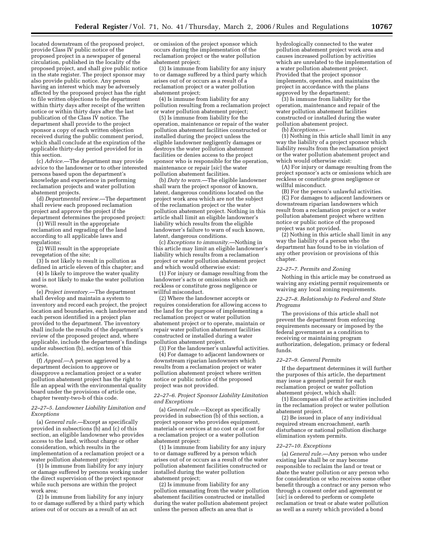located downstream of the proposed project, provide Class IV public notice of the proposed project in a newspaper of general circulation, published in the locality of the proposed project, and shall give public notice in the state register. The project sponsor may also provide public notice. Any person having an interest which may be adversely affected by the proposed project has the right to file written objections to the department within thirty days after receipt of the written notice or within thirty days after the last publication of the Class IV notice. The department shall provide to the project sponsor a copy of each written objection received during the public comment period, which shall conclude at the expiration of the applicable thirty-day period provided for in this section.

(c) *Advice.*—The department may provide advice to the landowner or to other interested persons based upon the department's knowledge and experience in performing reclamation projects and water pollution abatement projects.

(d) *Departmental review.*—The department shall review each proposed reclamation project and approve the project if the department determines the proposed project:

(1) Will result in the appropriate reclamation and regrading of the land according to all applicable laws and regulations;

(2) Will result in the appropriate revegetation of the site;

(3) Is not likely to result in pollution as defined in article eleven of this chapter; and

(4) Is likely to improve the water quality and is not likely to make the water pollution worse.

(e) *Project inventory.*—The department shall develop and maintain a system to inventory and record each project, the project location and boundaries, each landowner and each person identified in a project plan provided to the department. The inventory shall include the results of the department's review of the proposed project and, where applicable, include the department's findings under subsection (b), section ten of this article.

(f) *Appeal.*—A person aggrieved by a department decision to approve or disapprove a reclamation project or a water pollution abatement project has the right to file an appeal with the environmental quality board under the provisions of article one, chapter twenty-two-b of this code.

# *22–27–5. Landowner Liability Limitation and Exceptions*

(a) *General rule.*—Except as specifically provided in subsections (b) and (c) of this section, an eligible landowner who provides access to the land, without charge or other consideration, which results in the implementation of a reclamation project or a water pollution abatement project:

 $(1)$  Is immune from liability for any injury or damage suffered by persons working under the direct supervision of the project sponsor while such persons are within the project work area;

(2) Is immune from liability for any injury to or damage suffered by a third party which arises out of or occurs as a result of an act

or omission of the project sponsor which occurs during the implementation of the reclamation project or the water pollution abatement project;

(3) Is immune from liability for any injury to or damage suffered by a third party which arises out of or occurs as a result of a reclamation project or a water pollution abatement project;

(4) Is immune from liability for any pollution resulting from a reclamation project or water pollution abatement project;

(5) Is immune from liability for the operation, maintenance or repair of the water pollution abatement facilities constructed or installed during the project unless the eligible landowner negligently damages or destroys the water pollution abatement facilities or denies access to the project sponsor who is responsible for the operation, maintenance or repair [*sic*] the water pollution abatement facilities.

(b) *Duty to warn.*—The eligible landowner shall warn the project sponsor of known, latent, dangerous conditions located on the project work area which are not the subject of the reclamation project or the water pollution abatement project. Nothing in this article shall limit an eligible landowner's liability which results from the eligible landowner's failure to warn of such known, latent, dangerous conditions.

(c) *Exceptions to immunity.*—Nothing in this article may limit an eligible landowner's liability which results from a reclamation project or water pollution abatement project and which would otherwise exist:

(1) For injury or damage resulting from the landowner's acts or omissions which are reckless or constitute gross negligence or willful misconduct.

(2) Where the landowner accepts or requires consideration for allowing access to the land for the purpose of implementing a reclamation project or water pollution abatement project or to operate, maintain or repair water pollution abatement facilities constructed or installed during a water pollution abatement project.

(3) For the landowner's unlawful activities. (4) For damage to adjacent landowners or downstream riparian landowners which results from a reclamation project or water pollution abatement project where written notice or public notice of the proposed project was not provided.

# *22–27–6. Project Sponsor Liability Limitation and Exceptions*

(a) *General rule.*—Except as specifically provided in subsection (b) of this section, a project sponsor who provides equipment, materials or services at no cost or at cost for a reclamation project or a water pollution abatement project:

(1) Is immune from liability for any injury to or damage suffered by a person which arises out of or occurs as a result of the water pollution abatement facilities constructed or installed during the water pollution abatement project;

(2) Is immune from liability for any pollution emanating from the water pollution abatement facilities constructed or installed during the water pollution abatement project unless the person affects an area that is

hydrologically connected to the water pollution abatement project work area and causes increased pollution by activities which are unrelated to the implementation of a water pollution abatement project. Provided that the project sponsor implements, operates, and maintains the project in accordance with the plans approved by the department;

(3) Is immune from liability for the operation, maintenance and repair of the water pollution abatement facilities constructed or installed during the water pollution abatement project.

(b) *Exceptions.*—

(1) Nothing in this article shall limit in any way the liability of a project sponsor which liability results from the reclamation project or the water pollution abatement project and which would otherwise exist:

(A) For injury or damage resulting from the project sponsor's acts or omissions which are reckless or constitute gross negligence or willful misconduct.

(B) For the person's unlawful activities. (C) For damages to adjacent landowners or downstream riparian landowners which result from a reclamation project or a water pollution abatement project where written notice or public notice of the proposed project was not provided.

(2) Nothing in this article shall limit in any way the liability of a person who the department has found to be in violation of any other provision or provisions of this chapter.

#### *22–27–7. Permits and Zoning*

Nothing in this article may be construed as waiving any existing permit requirements or waiving any local zoning requirements.

#### *22–27–8. Relationship to Federal and State Programs*

The provisions of this article shall not prevent the department from enforcing requirements necessary or imposed by the federal government as a condition to receiving or maintaining program authorization, delegation, primacy or federal funds.

#### *22–27–9. General Permits*

If the department determines it will further the purposes of this article, the department may issue a general permit for each reclamation project or water pollution abatement project, which shall:

(1) Encompass all of the activities included in the reclamation project or water pollution abatement project.

(2) Be issued in place of any individual required stream encroachment, earth disturbance or national pollution discharge elimination system permits.

#### *22–27–10. Exceptions*

(a) *General rule.*—Any person who under existing law shall be or may become responsible to reclaim the land or treat or abate the water pollution or any person who for consideration or who receives some other benefit through a contract or any person who through a consent order and agreement or [*sic*] is ordered to perform or complete reclamation or treat or abate water pollution as well as a surety which provided a bond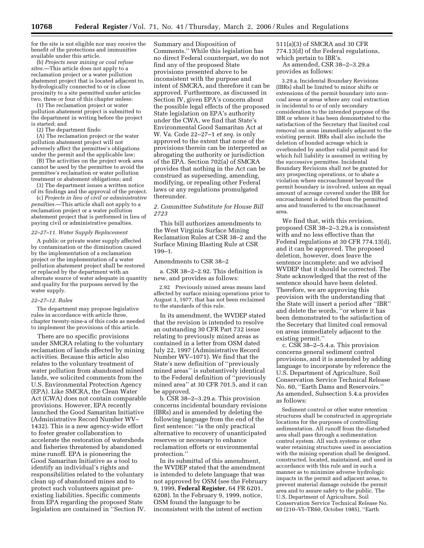for the site is not eligible nor may receive the benefit of the protections and immunities available under this article.

(b) *Projects near mining or coal refuse sites.*—This article does not apply to a reclamation project or a water pollution abatement project that is located adjacent to, hydrologically connected to or in close proximity to a site permitted under articles two, three or four of this chapter unless:

(1) The reclamation project or water pollution abatement project is submitted to the department in writing before the project is started; and

(2) The department finds:

(A) The reclamation project or the water pollution abatement project will not adversely affect the permittee's obligations under the permit and the applicable law;

(B) The activities on the project work area cannot be used by the permittee to avoid the permittee's reclamation or water pollution treatment or abatement obligations; and

(3) The department issues a written notice of its findings and the approval of the project.

(c) *Projects in lieu of civil or administrative penalties.*—This article shall not apply to a reclamation project or a water pollution abatement project that is performed in lieu of paying civil or administrative penalties.

#### *22–27–11. Water Supply Replacement*

A public or private water supply affected by contamination or the diminution caused by the implementation of a reclamation project or the implementation of a water pollution abatement project shall be restored or replaced by the department with an alternate source of water adequate in quantity and quality for the purposes served by the water supply.

#### *22–27–12. Rules*

The department may propose legislative rules in accordance with article three, chapter twenty-nine-a of this code as needed to implement the provisions of this article.

There are no specific provisions under SMCRA relating to the voluntary reclamation of lands affected by mining activities. Because this article also relates to the voluntary treatment of water pollution from abandoned mined lands, we solicited comments from the U.S. Environmental Protection Agency (EPA). Like SMCRA, the Clean Water Act (CWA) does not contain comparable provisions. However, EPA recently launched the Good Samaritan Initiative (Administrative Record Number WV– 1432). This is a new agency-wide effort to foster greater collaboration to accelerate the restoration of watersheds and fisheries threatened by abandoned mine runoff. EPA is pioneering the Good Samaritan Initiative as a tool to identify an individual's rights and responsibilities related to the voluntary clean up of abandoned mines and to protect such volunteers against preexisting liabilities. Specific comments from EPA regarding the proposed State legislation are contained in ''Section IV.

Summary and Disposition of Comments.'' While this legislation has no direct Federal counterpart, we do not find any of the proposed State provisions presented above to be inconsistent with the purpose and intent of SMCRA, and therefore it can be approved. Furthermore, as discussed in Section IV, given EPA's concern about the possible legal effects of the proposed State legislation on EPA's authority under the CWA, we find that State's Environmental Good Samaritan Act at W. Va. Code 22–27–1 *et seq.* is only approved to the extent that none of the provisions therein can be interpreted as abrogating the authority or jurisdiction of the EPA. Section 702(a) of SMCRA provides that nothing in the Act can be construed as superseding, amending, modifying, or repealing other Federal laws or any regulations promulgated thereunder.

# *2. Committee Substitute for House Bill 2723*

This bill authorizes amendments to the West Virginia Surface Mining Reclamation Rules at CSR 38–2 and the Surface Mining Blasting Rule at CSR 199–1.

# Amendments to CSR 38–2

a. CSR 38–2–2.92. This definition is new, and provides as follows:

2.92 Previously mined areas means land affected by surface mining operations prior to August 3, 1977, that has not been reclaimed to the standards of this rule.

In its amendment, the WVDEP stated that the revision is intended to resolve an outstanding 30 CFR Part 732 issue relating to previously mined areas as contained in a letter from OSM dated July 22, 1997 (Administrative Record Number WV–1071). We find that the State's new definition of ''previously mined areas'' is substantively identical to the Federal definition of ''previously mined area'' at 30 CFR 701.5, and it can be approved.

b. CSR 38–2–3.29.a. This provision concerns incidental boundary revisions (IBRs) and is amended by deleting the following language from the end of the first sentence: ''is the only practical alternative to recovery of unanticipated reserves or necessary to enhance reclamation efforts or environmental protection.''

In its submittal of this amendment, the WVDEP stated that the amendment is intended to delete language that was not approved by OSM (see the February 9, 1999, **Federal Register**, 64 FR 6201, 6208). In the February 9, 1999, notice, OSM found the language to be inconsistent with the intent of section

511(a)(3) of SMCRA and 30 CFR 774.13(d) of the Federal regulations, which pertain to IBR's.

As amended, CSR 38–2–3.29.a provides as follows:

3.29.a. Incidental Boundary Revisions (IBRs) shall be limited to minor shifts or extensions of the permit boundary into noncoal areas or areas where any coal extraction is incidental to or of only secondary consideration to the intended purpose of the IBR or where it has been demonstrated to the satisfaction of the Secretary that limited coal removal on areas immediately adjacent to the existing permit. IBRs shall also include the deletion of bonded acreage which is overbonded by another valid permit and for which full liability is assumed in writing by the successive permittee. Incidental Boundary Revisions shall not be granted for any prospecting operations, or to abate a violation where encroachment beyond the permit boundary is involved, unless an equal amount of acreage covered under the IBR for encroachment is deleted from the permitted area and transferred to the encroachment area.

We find that, with this revision, proposed CSR 38–2–3.29.a is consistent with and no less effective than the Federal regulations at 30 CFR 774.13(d), and it can be approved. The proposed deletion, however, does leave the sentence incomplete; and we advised WVDEP that it should be corrected. The State acknowledged that the rest of the sentence should have been deleted. Therefore, we are approving this provision with the understanding that the State will insert a period after ''IBR'' and delete the words, ''or where it has been demonstrated to the satisfaction of the Secretary that limited coal removal on areas immediately adjacent to the existing permit.''

c. CSR 38–2–5.4.a. This provision concerns general sediment control provisions, and it is amended by adding language to incorporate by reference the U.S. Department of Agriculture, Soil Conservation Service Technical Release No. 60, ''Earth Dams and Reservoirs.'' As amended, Subsection 5.4.a provides as follows:

Sediment control or other water retention structures shall be constructed in appropriate locations for the purposes of controlling sedimentation. All runoff from the disturbed area shall pass through a sedimentation control system. All such systems or other water retaining structures used in association with the mining operation shall be designed, constructed, located, maintained, and used in accordance with this rule and in such a manner as to minimize adverse hydrologic impacts in the permit and adjacent areas, to prevent material damage outside the permit area and to assure safety to the public. The U.S. Department of Agriculture, Soil Conservation Service Technical Release No. 60 (210–VI–TR60, October 1985), ''Earth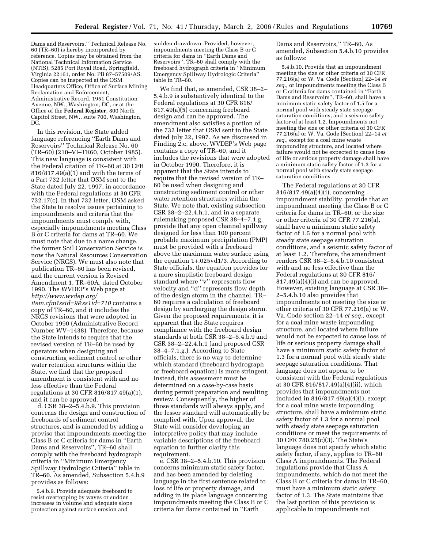Dams and Reservoirs,'' Technical Release No. 60 (TR–60) is hereby incorporated by reference. Copies may be obtained from the National Technical Information Service (NTIS), 5285 Port Royal Road, Springfield, Virginia 22161, order No. PB 87–57509/AS. Copies can be inspected at the OSM Headquarters Office, Office of Surface Mining Reclamation and Enforcement, Administrative Record, 1951 Constitution Avenue, NW., Washington, DC, or at the Office of the **Federal Register**, 800 North Capitol Street, NW., suite 700, Washington, DC.

In this revision, the State added language referencing ''Earth Dams and Reservoirs'' Technical Release No. 60 (TR–60) (210–VI–TR60, October 1985). This new language is consistent with the Federal citation of TR–60 at 30 CFR 816/817.49(a)(1) and with the terms of a Part 732 letter that OSM sent to the State dated July 22, 1997, in accordance with the Federal regulations at 30 CFR 732.17(c). In that 732 letter, OSM asked the State to resolve issues pertaining to impoundments and criteria that the impoundments must comply with, especially impoundments meeting Class B or C criteria for dams at TR–60. We must note that due to a name change, the former Soil Conservation Service is now the Natural Resources Conservation Service (NRCS). We must also note that publication TR–60 has been revised, and the current version is Revised Amendment 1, TR–60A, dated October 1990. The WVDEP's Web page at *http://www.wvdep.org/ item.cfm?ssid=9&ss1id=710* contains a copy of TR–60, and it includes the NRCS revisions that were adopted in October 1990 (Administrative Record Number WV–1438). Therefore, because the State intends to require that the revised version of TR–60 be used by operators when designing and constructing sediment control or other water retention structures within the State, we find that the proposed amendment is consistent with and no less effective than the Federal regulations at 30 CFR 816/817.49(a)(1), and it can be approved.

d. CSR  $38-2-5.4.b.9$ . This provision concerns the design and construction of freeboards of sediment control structures, and is amended by adding a proviso that impoundments meeting the Class B or C criteria for dams in ''Earth Dams and Reservoirs'', TR–60 shall comply with the freeboard hydrograph criteria in ''Minimum Emergency Spillway Hydrologic Criteria'' table in TR–60. As amended, Subsection 5.4.b.9 provides as follows:

5.4.b.9. Provide adequate freeboard to resist overtopping by waves or sudden increases in volume and adequate slope protection against surface erosion and

sudden drawdown. Provided, however, impoundments meeting the Class B or C criteria for dams in ''Earth Dams and Reservoirs'', TR–60 shall comply with the freeboard hydrograph criteria in ''Minimum Emergency Spillway Hydrologic Criteria'' table in TR–60.

We find that, as amended, CSR 38–2– 5.4.b.9 is substantively identical to the Federal regulations at 30 CFR 816/ 817.49(a)(5) concerning freeboard design and can be approved. The amendment also satisfies a portion of the 732 letter that OSM sent to the State dated July 22, 1997. As we discussed in Finding 2.c. above, WVDEP's Web page contains a copy of TR–60, and it includes the revisions that were adopted in October 1990. Therefore, it is apparent that the State intends to require that the revised version of TR– 60 be used when designing and constructing sediment control or other water retention structures within the State. We note that, existing subsection CSR 38–2–22.4.h.1, and in a separate rulemaking proposed CSR 38–4–7.1.g, provide that any open channel spillway designed for less than 100 percent probable maximum precipitation (PMP) must be provided with a freeboard above the maximum water surface using the equation 1+.025vd1/3. According to State officials, the equation provides for a more simplistic freeboard design standard where ''v'' represents flow velocity and ''d'' represents flow depth of the design storm in the channel. TR– 60 requires a calculation of freeboard design by surcharging the design storm. Given the proposed requirements, it is apparent that the State requires compliance with the freeboard design standards at both CSR 38–2–5.4.b.9 and CSR 38–2–22.4.h.1 (and proposed CSR 38–4–7.1.g.). According to State officials, there is no way to determine which standard (freeboard hydrograph or freeboard equation) is more stringent. Instead, this assessment must be determined on a case-by-case basis during permit preparation and resulting review. Consequently, the higher of those standards will always apply, and the lesser standard will automatically be complied with. Upon approval, the State will consider developing an interpretive policy that may include variable descriptions of the freeboard equation to further clarify this requirement.

e. CSR 38–2–5.4.b.10. This provision concerns minimum static safety factor, and has been amended by deleting language in the first sentence related to loss of life or property damage, and adding in its place language concerning impoundments meeting the Class B or C criteria for dams contained in ''Earth

Dams and Reservoirs,'' TR–60. As amended, Subsection 5.4.b.10 provides as follows:

5.4.b.10. Provide that an impoundment meeting the size or other criteria of 30 CFR 77.216(a) or W. Va. Code [Section] 22–14 *et seq.*, or Impoundments meeting the Class B or C criteria for dams contained in ''Earth Dams and Reservoirs'', TR–60, shall have a minimum static safety factor of 1.5 for a normal pool with steady state seepage saturation conditions, and a seismic safety factor of at least 1.2. Impoundments not meeting the size or other criteria of 30 CFR 77.216(a) or W. Va. Code [Section] 22–14 *et seq.*, except for a coal mine waste impounding structure, and located where failure would not be expected to cause loss of life or serious property damage shall have a minimum static safety factor of 1.3 for a normal pool with steady state seepage saturation conditions.

The Federal regulations at 30 CFR 816/817.49(a)(4)(i), concerning impoundment stability, provide that an impoundment meeting the Class B or C criteria for dams in TR–60, or the size or other criteria of 30 CFR 77.216(a), shall have a minimum static safety factor of 1.5 for a normal pool with steady state seepage saturation conditions, and a seismic safety factor of at least 1.2. Therefore, the amendment renders CSR 38–2–5.4.b.10 consistent with and no less effective than the Federal regulations at 30 CFR 816/  $817.49(a)(4)(i)$  and can be approved. However, existing language at CSR 38– 2–5.4.b.10 also provides that impoundments not meeting the size or other criteria of 30 CFR 77.216(a) or W. Va. Code section 22–14 *et seq.*, except for a coal mine waste impounding structure, and located where failure would not be expected to cause loss of life or serious property damage shall have a minimum static safety factor of 1.3 for a normal pool with steady state seepage saturation conditions. That language does not appear to be consistent with the Federal regulations at 30 CFR 816/817.49(a)(4)(ii), which provides that impoundments not included in 816/817.49(a)(4)(i), except for a coal mine waste impounding structure, shall have a minimum static safety factor of 1.3 for a normal pool with steady state seepage saturation conditions or meet the requirements of 30 CFR 780.25(c)(3). The State's language does not specify which static safety factor, if any, applies to TR–60 Class A impoundments. The Federal regulations provide that Class A impoundments, which do not meet the Class B or C criteria for dams in TR–60, must have a minimum static safety factor of 1.3. The State maintains that the last portion of this provision is applicable to impoundments not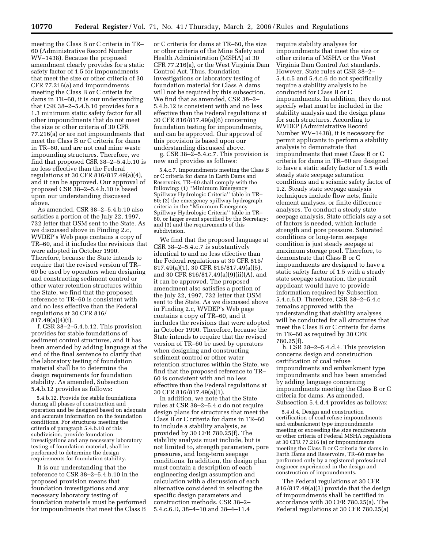meeting the Class B or C criteria in TR– 60 (Administrative Record Number WV–1438). Because the proposed amendment clearly provides for a static safety factor of 1.5 for impoundments that meet the size or other criteria of 30 CFR 77.216(a) and impoundments meeting the Class B or C criteria for dams in TR–60, it is our understanding that CSR 38–2–5.4.b.10 provides for a 1.3 minimum static safety factor for all other impoundments that do not meet the size or other criteria of 30 CFR 77.216(a) or are not impoundments that meet the Class B or C criteria for dams in TR–60, and are not coal mine waste impounding structures. Therefore, we find that proposed CSR 38–2–5.4.b.10 is no less effective than the Federal regulations at 30 CFR 816/817.49(a)(4), and it can be approved. Our approval of proposed CSR 38–2–5.4.b.10 is based upon our understanding discussed above.

As amended, CSR 38–2–5.4.b.10 also satisfies a portion of the July 22, 1997, 732 letter that OSM sent to the State. As we discussed above in Finding 2.c, WVDEP's Web page contains a copy of TR–60, and it includes the revisions that were adopted in October 1990. Therefore, because the State intends to require that the revised version of TR– 60 be used by operators when designing and constructing sediment control or other water retention structures within the State, we find that the proposed reference to TR–60 is consistent with and no less effective than the Federal regulations at 30 CFR 816/ 817.49(a)(4)(i).

f. CSR 38–2–5.4.b.12. This provision provides for stable foundations of sediment control structures, and it has been amended by adding language at the end of the final sentence to clarify that the laboratory testing of foundation material shall be to determine the design requirements for foundation stability. As amended, Subsection 5.4.b.12 provides as follows:

5.4.b.12. Provide for stable foundations during all phases of construction and operation and be designed based on adequate and accurate information on the foundation conditions. For structures meeting the criteria of paragraph 5.4.b.10 of this subdivision, provide foundation investigations and any necessary laboratory testing of foundation material, shall be performed to determine the design requirements for foundation stability.

It is our understanding that the reference to CSR 38–2–5.4.b.10 in the proposed provision means that foundation investigations and any necessary laboratory testing of foundation materials must be performed for impoundments that meet the Class B

or C criteria for dams at TR–60, the size or other criteria of the Mine Safety and Health Administration (MSHA) at 30 CFR 77.216(a), or the West Virginia Dam Control Act. Thus, foundation investigations or laboratory testing of foundation material for Class A dams will not be required by this subsection. We find that as amended, CSR 38–2– 5.4.b.12 is consistent with and no less effective than the Federal regulations at 30 CFR 816/817.49(a)(6) concerning foundation testing for impoundments, and can be approved. Our approval of this provision is based upon our understanding discussed above.

g. CSR 38–2–5.4.c.7. This provision is new and provides as follows:

5.4.c.7. Impoundments meeting the Class B or C criteria for dams in Earth Dams and Reservoirs, TR–60 shall comply with the following: (1) ''Minimum Emergency Spillway Hydrologic Criteria'' table in TR– 60; (2) the emergency spillway hydrograph criteria in the ''Minimum Emergency Spillway Hydrologic Criteria'' table in TR– 60, or larger event specified by the Secretary; and (3) and the requirements of this subdivision.

We find that the proposed language at CSR 38–2–5.4.c.7 is substantively identical to and no less effective than the Federal regulations at 30 CFR 816/ 817.49(a)(1), 30 CFR 816/817.49(a)(5), and 30 CFR 816/817.49(a)(9)(ii)(A), and it can be approved. The proposed amendment also satisfies a portion of the July 22, 1997, 732 letter that OSM sent to the State. As we discussed above in Finding 2.c, WVDEP's Web page contains a copy of TR–60, and it includes the revisions that were adopted in October 1990. Therefore, because the State intends to require that the revised version of TR–60 be used by operators when designing and constructing sediment control or other water retention structures within the State, we find that the proposed reference to TR– 60 is consistent with and no less effective than the Federal regulations at 30 CFR 816/817.49(a)(1).

In addition, we note that the State rules at CSR 38–2–5.4.c do not require design plans for structures that meet the Class B or C criteria for dams in TR–60 to include a stability analysis, as provided by 30 CFR 780.25(f). The stability analysis must include, but is not limited to, strength parameters, pore pressures, and long-term seepage conditions. In addition, the design plan must contain a description of each engineering design assumption and calculation with a discussion of each alternative considered in selecting the specific design parameters and construction methods. CSR 38–2– 5.4.c.6.D, 38–4–10 and 38–4–11.4

require stability analyses for impoundments that meet the size or other criteria of MSHA or the West Virginia Dam Control Act standards. However, State rules at CSR 38–2– 5.4.c.5 and 5.4.c.6 do not specifically require a stability analysis to be conducted for Class B or C impoundments. In addition, they do not specify what must be included in the stability analysis and the design plans for such structures. According to WVDEP (Administrative Record Number WV–1438), it is necessary for permit applicants to perform a stability analysis to demonstrate that impoundments that meet Class B or C criteria for dams in TR–60 are designed to have a static safety factor of 1.5 with steady state seepage saturation conditions and a seismic safety factor of 1.2. Steady state seepage analysis techniques include flow nets, finite element analyses, or finite difference analyses. To conduct a steady state seepage analysis, State officials say a set of factors is needed, which include strength and pore pressure. Saturated conditions or long-term seepage condition is just steady seepage at maximum storage pool. Therefore, to demonstrate that Class B or C impoundments are designed to have a static safety factor of 1.5 with a steady state seepage saturation, the permit applicant would have to provide information required by Subsection 5.4.c.6.D. Therefore, CSR 38–2–5.4.c remains approved with the understanding that stability analyses will be conducted for all structures that meet the Class B or C criteria for dams in TR–60 as required by 30 CFR 780.25(f).

h. CSR 38–2–5.4.d.4. This provision concerns design and construction certification of coal refuse impoundments and embankment type impoundments and has been amended by adding language concerning impoundments meeting the Class B or C criteria for dams. As amended, Subsection 5.4.d.4 provides as follows:

5.4.d.4. Design and construction certification of coal refuse impoundments and embankment type impoundments meeting or exceeding the size requirements or other criteria of Federal MSHA regulations at 30 CFR 77.216 (a) or impoundments meeting the Class B or C criteria for dams in Earth Dams and Reservoirs, TR–60 may be performed only by a registered professional engineer experienced in the design and construction of impoundments.

The Federal regulations at 30 CFR 816/817.49(a)(3) provide that the design of impoundments shall be certified in accordance with 30 CFR 780.25(a). The Federal regulations at 30 CFR 780.25(a)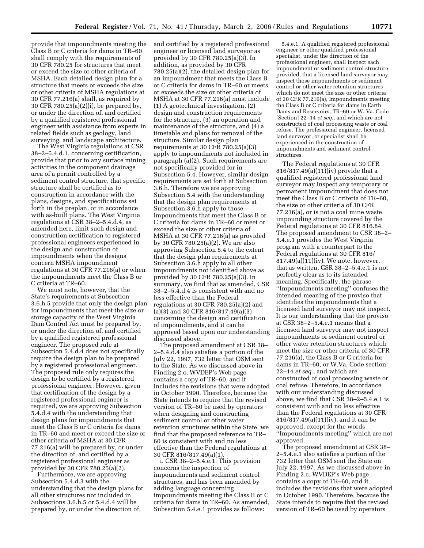provide that impoundments meeting the Class B or C criteria for dams in TR–60 shall comply with the requirements of 30 CFR 780.25 for structures that meet or exceed the size or other criteria of MSHA. Each detailed design plan for a structure that meets or exceeds the size or other criteria of MSHA regulations at 30 CFR 77.216(a) shall, as required by 30 CFR 780.25(a)(2)(i), be prepared by, or under the direction of, and certified by a qualified registered professional engineer with assistance from experts in related fields such as geology, land surveying, and landscape architecture.

The West Virginia regulations at CSR 38–2–5.4.d.1, concerning certification, provide that prior to any surface mining activities in the component drainage area of a permit controlled by a sediment control structure, that specific structure shall be certified as to construction in accordance with the plans, designs, and specifications set forth in the preplan, or in accordance with as-built plans. The West Virginia regulations at CSR 38–2–5.4.d.4, as amended here, limit such design and construction certification to registered professional engineers experienced in the design and construction of impoundments when the designs concern MSHA impoundment regulations at 30 CFR 77.216(a) or when the impoundments meet the Class B or C criteria at TR–60.

We must note, however, that the State's requirements at Subsection 3.6.h.5 provide that only the design plan for impoundments that meet the size or storage capacity of the West Virginia Dam Control Act must be prepared by, or under the direction of, and certified by a qualified registered professional engineer. The proposed rule at Subsection 5.4.d.4 does not specifically require the design plan to be prepared by a registered professional engineer. The proposed rule only requires the design to be certified by a registered professional engineer. However, given that certification of the design by a registered professional engineer is required, we are approving Subsection 5.4.d.4 with the understanding that design plans for impoundments that meet the Class B or C criteria for dams in TR–60 and meet or exceed the size or other criteria of MSHA at 30 CFR 77.216(a) will be prepared by, or under the direction of, and certified by a registered professional engineer as provided by 30 CFR 780.25(a)(2).

Furthermore, we are approving Subsection 5.4.d.3 with the understanding that the design plans for all other structures not included in Subsections 3.6.h.5 or 5.4.d.4 will be prepared by, or under the direction of,

and certified by a registered professional engineer or licensed land surveyor as provided by 30 CFR 780.25(a)(3). In addition, as provided by 30 CFR 780.25(a)(2), the detailed design plan for an impoundment that meets the Class B or C criteria for dams in TR–60 or meets or exceeds the size or other criteria of MSHA at 30 CFR 77.216(a) must include (1) A geotechnical investigation, (2) design and construction requirements for the structure, (3) an operation and maintenance of the structure, and (4) a timetable and plans for removal of the structure. Similar design plan requirements at 30 CFR 780.25(a)(3) apply to impoundments not included in paragraph (a)(2). Such requirements are not specifically provided for in Subsection 5.4. However, similar design requirements are set forth at Subsection 3.6.h. Therefore we are approving Subsection 5.4 with the understanding that the design plan requirements at Subsection 3.6.h apply to those impoundments that meet the Class B or C criteria for dams in TR–60 or meet or exceed the size or other criteria of MSHA at 30 CFR 77.216(a) as provided by 30 CFR 780.25(a)(2). We are also approving Subsection 5.4 to the extent that the design plan requirements at Subsection 3.6.h apply to all other impoundments not identified above as provided by 30 CFR 780.25(a)(3). In summary, we find that as amended, CSR 38–2–5.4.d.4 is consistent with and no less effective than the Federal regulations at 30 CFR 780.25(a)(2) and (a)(3) and 30 CFR 816/817.49(a)(3) concerning the design and certification of impoundments, and it can be approved based upon our understanding discussed above.

The proposed amendment at CSR 38– 2–5.4.d.4 also satisfies a portion of the July 22, 1997, 732 letter that OSM sent to the State. As we discussed above in Finding 2.c, WVDEP's Web page contains a copy of TR–60, and it includes the revisions that were adopted in October 1990. Therefore, because the State intends to require that the revised version of TR–60 be used by operators when designing and constructing sediment control or other water retention structures within the State, we find that the proposed reference to TR– 60 is consistent with and no less effective than the Federal regulations at 30 CFR 816/817.49(a)(1).

i. CSR 38–2–5.4.e.1. This provision concerns the inspection of impoundments and sediment control structures, and has been amended by adding language concerning impoundments meeting the Class B or C criteria for dams in TR–60. As amended, Subsection 5.4.e.1 provides as follows:

5.4.e.1. A qualified registered professional engineer or other qualified professional specialist, under the direction of the professional engineer, shall inspect each impoundment or sediment control structure provided, that a licensed land surveyor may inspect those impoundments or sediment control or other water retention structures which do not meet the size or other criteria of 30 CFR 77.216(a), Impoundments meeting the Class B or C criteria for dams in Earth Dams and Reservoirs, TR–60 or W. Va. Code [Section] 22–14 *et seq.*, and which are not constructed of coal processing waste or coal refuse. The professional engineer, licensed land surveyor, or specialist shall be experienced in the construction of impoundments and sediment control structures.

The Federal regulations at 30 CFR 816/817.49(a)(11)(iv) provide that a qualified registered professional land surveyor may inspect any temporary or permanent impoundment that does not meet the Class B or C criteria of TR–60, the size or other criteria of 30 CFR 77.216(a), or is not a coal mine waste impounding structure covered by the Federal regulations at 30 CFR 816.84. The proposed amendment to CSR 38–2– 5.4.e.1 provides the West Virginia program with a counterpart to the Federal regulations at 30 CFR 816/ 817.49(a)(11)(iv). We note, however, that as written, CSR 38–2–5.4.e.1 is not perfectly clear as to its intended meaning. Specifically, the phrase ''Impoundments meeting'' confuses the intended meaning of the proviso that identifies the impoundments that a licensed land surveyor may not inspect. It is our understanding that the proviso at CSR 38–2–5.4.e.1 means that a licensed land surveyor may not inspect impoundments or sediment control or other water retention structures which meet the size or other criteria of 30 CFR 77.216(a), the Class B or C criteria for dams in TR–60, or W.Va. Code section 22–14 *et seq.*, and which are constructed of coal processing waste or coal refuse. Therefore, in accordance with our understanding discussed above, we find that CSR 38–2–5.4.e.1 is consistent with and no less effective than the Federal regulations at 30 CFR 816/817.49(a)(11)(iv), and it can be approved, except for the words ''Impoundments meeting'' which are not approved.

The proposed amendment at CSR 38– 2–5.4.e.1 also satisfies a portion of the 732 letter that OSM sent the State on July 22, 1997. As we discussed above in Finding 2.c, WVDEP's Web page contains a copy of TR–60, and it includes the revisions that were adopted in October 1990. Therefore, because the State intends to require that the revised version of TR–60 be used by operators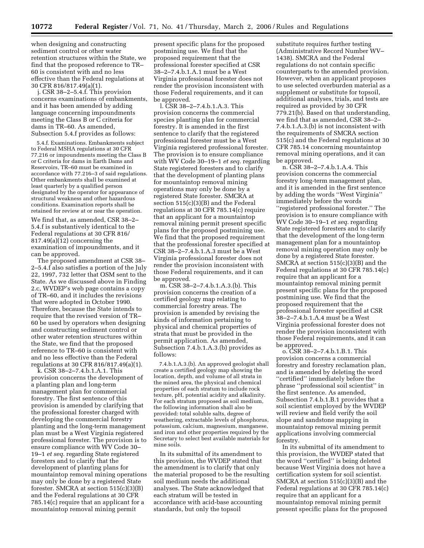when designing and constructing sediment control or other water retention structures within the State, we find that the proposed reference to TR– 60 is consistent with and no less effective than the Federal regulations at 30 CFR 816/817.49(a)(1).

j. CSR 38–2–5.4.f. This provision concerns examinations of embankments, and it has been amended by adding language concerning impoundments meeting the Class B or C criteria for dams in TR–60. As amended, Subsection 5.4.f provides as follows:

5.4.f. Examinations. Embankments subject to Federal MSHA regulations at 30 CFR 77.216 or impoundments meeting the Class B or C criteria for dams in Earth Dams and Reservoirs, TR–60 must be examined in accordance with 77.216–3 of said regulations. Other embankments shall be examined at least quarterly by a qualified person designated by the operator for appearance of structural weakness and other hazardous conditions. Examination reports shall be retained for review at or near the operation.

We find that, as amended, CSR 38–2– 5.4.f is substantively identical to the Federal regulations at 30 CFR 816/ 817.49(a)(12) concerning the examination of impoundments, and it can be approved.

The proposed amendment at CSR 38– 2–5.4.f also satisfies a portion of the July 22, 1997, 732 letter that OSM sent to the State. As we discussed above in Finding 2.c, WVDEP's web page contains a copy of TR–60, and it includes the revisions that were adopted in October 1990. Therefore, because the State intends to require that the revised version of TR– 60 be used by operators when designing and constructing sediment control or other water retention structures within the State, we find that the proposed reference to TR–60 is consistent with and no less effective than the Federal regulations at 30 CFR 816/817.49(a)(1).

k. CSR 38–2–7.4.b.1.A.1. This provision concerns the development of a planting plan and long-term management plan for commercial forestry. The first sentence of this provision is amended by clarifying that the professional forester charged with developing the commercial forestry planting and the long-term management plan must be a West Virginia registered professional forester. The provision is to ensure compliance with WV Code 30– 19–1 *et seq.* regarding State registered foresters and to clarify that the development of planting plans for mountaintop removal mining operations may only be done by a registered State forester. SMCRA at section 515(c)(3)(B) and the Federal regulations at 30 CFR 785.14(c) require that an applicant for a mountaintop removal mining permit

present specific plans for the proposed postmining use. We find that the proposed requirement that the professional forester specified at CSR 38–2–7.4.b.1.A.1 must be a West Virginia professional forester does not render the provision inconsistent with those Federal requirements, and it can be approved.

l. CSR 38–2–7.4.b.1.A.3. This provision concerns the commercial species planting plan for commercial forestry. It is amended in the first sentence to clarify that the registered professional forester must be a West Virginia registered professional forester. The provision is to ensure compliance with WV Code 30–19–1 *et seq.* regarding State registered foresters and to clarify that the development of planting plans for mountaintop removal mining operations may only be done by a registered State forester. SMCRA at section 515(c)(3)(B) and the Federal regulations at 30 CFR 785.14(c) require that an applicant for a mountaintop removal mining permit present specific plans for the proposed postmining use. We find that the proposed requirement that the professional forester specified at CSR 38–2–7.4.b.1.A.3 must be a West Virginia professional forester does not render the provision inconsistent with those Federal requirements, and it can be approved.

m. CSR 38–2–7.4.b.1.A.3.(b). This provision concerns the creation of a certified geology map relating to commercial forestry areas. The provision is amended by revising the kinds of information pertaining to physical and chemical properties of strata that must be provided in the permit application. As amended, Subsection 7.4.b.1.A.3.(b) provides as follows:

7.4.b.1.A.3.(b). An approved geologist shall create a certified geology map showing the location, depth, and volume of all strata in the mined area, the physical and chemical properties of each stratum to include rock texture, pH, potential acidity and alkalinity. For each stratum proposed as soil medium, the following information shall also be provided: total soluble salts, degree of weathering, extractable levels of phosphorus, potassium, calcium, magnesium, manganese, and iron and other properties required by the Secretary to select best available materials for mine soils.

In its submittal of its amendment to this provision, the WVDEP stated that the amendment is to clarify that only the material proposed to be the resulting soil medium needs the additional analyses. The State acknowledged that each stratum will be tested in accordance with acid-base accounting standards, but only the topsoil

substitute requires further testing (Administrative Record Number WV– 1438). SMCRA and the Federal regulations do not contain specific counterparts to the amended provision. However, when an applicant proposes to use selected overburden material as a supplement or substitute for topsoil, additional analyses, trials, and tests are required as provided by 30 CFR 779.21(b). Based on that understanding, we find that as amended, CSR 38–2– 7.4.b.1.A.3.(b) is not inconsistent with the requirements of SMCRA section 515(c) and the Federal regulations at 30 CFR 785.14 concerning mountaintop removal mining operations, and it can be approved.

n. CSR 38–2–7.4.b.1.A.4. This provision concerns the commercial forestry long-term management plan, and it is amended in the first sentence by adding the words ''West Virginia'' immediately before the words ''registered professional forester.'' The provision is to ensure compliance with WV Code 30–19–1 *et seq.* regarding State registered foresters and to clarify that the development of the long-term management plan for a mountaintop removal mining operation may only be done by a registered State forester. SMCRA at section 515(c)(3)(B) and the Federal regulations at 30 CFR 785.14(c) require that an applicant for a mountaintop removal mining permit present specific plans for the proposed postmining use. We find that the proposed requirement that the professional forester specified at CSR 38–2–7.4.b.1.A.4 must be a West Virginia professional forester does not render the provision inconsistent with those Federal requirements, and it can be approved.

o. CSR 38–2–7.4.b.1.B.1. This provision concerns a commercial forestry and forestry reclamation plan, and is amended by deleting the word ''certified'' immediately before the phrase ''professional soil scientist'' in the first sentence. As amended, Subsection 7.4.b.1.B.1 provides that a soil scientist employed by the WVDEP will review and field verify the soil slope and sandstone mapping in mountaintop removal mining permit applications involving commercial forestry.

In its submittal of its amendment to this provision, the WVDEP stated that the word ''certified'' is being deleted because West Virginia does not have a certification system for soil scientist. SMCRA at section 515(c)(3)(B) and the Federal regulations at 30 CFR 785.14(c) require that an applicant for a mountaintop removal mining permit present specific plans for the proposed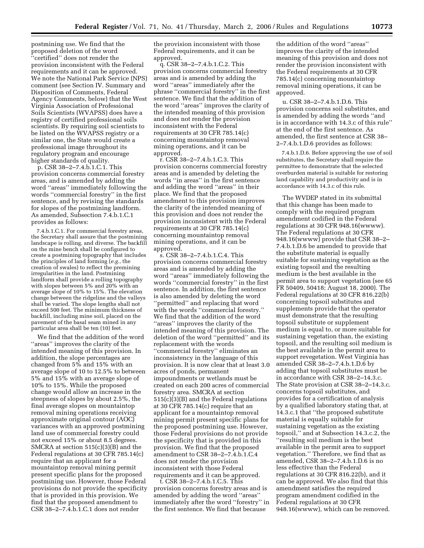postmining use. We find that the proposed deletion of the word 'certified'' does not render the provision inconsistent with the Federal requirements and it can be approved. We note the National Park Service (NPS) comment (see Section IV. Summary and Disposition of Comments, Federal Agency Comments, below) that the West Virginia Association of Professional Soils Scientists (WVAPSS) does have a registry of certified professional soils scientists. By requiring soil scientists to be listed on the WVAPSS registry or a similar one, the State would create a professional image throughout its regulatory program and encourage higher standards of quality.

p. CSR 38–2–7.4.b.1.C.1. This provision concerns commercial forestry areas, and is amended by adding the word ''areas'' immediately following the words ''commercial forestry'' in the first sentence, and by revising the standards for slopes of the postmining landform. As amended, Subsection 7.4.b.1.C.1 provides as follows:

7.4.b.1.C.1. For commercial forestry areas, the Secretary shall assure that the postmining landscape is rolling, and diverse. The backfill on the mine bench shall be configured to create a postmining topography that includes the principles of land forming (*e.g.*, the creation of swales) to reflect the premining irregularities in the land. Postmining landform shall provide a rolling topography with slopes between 5% and 20% with an average slope of 10% to 15%. The elevation change between the ridgeline and the valleys shall be varied. The slope lengths shall not exceed 500 feet. The minimum thickness of backfill, including mine soil, placed on the pavement of the basal seam mined in any particular area shall be ten (10) feet.

We find that the addition of the word ''areas'' improves the clarity of the intended meaning of this provision. In addition, the slope percentages are changed from 5% and 15% with an average slope of 10 to 12.5% to between 5% and 15% with an average slope of 10% to 15%. While the proposed change would allow an increase in the steepness of slopes by about 2.5%, the final average slopes on mountaintop removal mining operations receiving approximate original contour (AOC) variances with an approved postmining land use of commercial forestry could not exceed 15% or about 8.5 degrees. SMCRA at section 515(c)(3)(B) and the Federal regulations at 30 CFR 785.14(c) require that an applicant for a mountaintop removal mining permit present specific plans for the proposed postmining use. However, those Federal provisions do not provide the specificity that is provided in this provision. We find that the proposed amendment to CSR 38–2–7.4.b.1.C.1 does not render

the provision inconsistent with those Federal requirements, and it can be approved.

q. CSR 38–2–7.4.b.1.C.2. This provision concerns commercial forestry areas and is amended by adding the word ''areas'' immediately after the phrase ''commercial forestry'' in the first sentence. We find that the addition of the word ''areas'' improves the clarity of the intended meaning of this provision and does not render the provision inconsistent with the Federal requirements at 30 CFR 785.14(c) concerning mountaintop removal mining operations, and it can be approved.

r. CSR 38–2–7.4.b.1.C.3. This provision concerns commercial forestry areas and is amended by deleting the words ''in areas'' in the first sentence and adding the word ''areas'' in their place. We find that the proposed amendment to this provision improves the clarity of the intended meaning of this provision and does not render the provision inconsistent with the Federal requirements at 30 CFR 785.14(c) concerning mountaintop removal mining operations, and it can be approved.

s. CSR 38–2–7.4.b.1.C.4. This provision concerns commercial forestry areas and is amended by adding the word ''areas'' immediately following the words ''commercial forestry'' in the first sentence. In addition, the first sentence is also amended by deleting the word ''permitted'' and replacing that word with the words ''commercial forestry.'' We find that the addition of the word ''areas'' improves the clarity of the intended meaning of this provision. The deletion of the word ''permitted'' and its replacement with the words ''commercial forestry'' eliminates an inconsistency in the language of this provision. It is now clear that at least 3.0 acres of ponds, permanent impoundments or wetlands must be created on each 200 acres of commercial forestry area. SMCRA at section 515(c)(3)(B) and the Federal regulations at 30 CFR 785.14(c) require that an applicant for a mountaintop removal mining permit present specific plans for the proposed postmining use. However, those Federal provisions do not provide the specificity that is provided in this provision. We find that the proposed amendment to CSR 38–2–7.4.b.1.C.4 does not render the provision inconsistent with those Federal requirements and it can be approved.

t. CSR 38–2–7.4.b.1.C.5. This provision concerns forestry areas and is amended by adding the word ''areas'' immediately after the word ''forestry'' in the first sentence. We find that because

the addition of the word ''areas'' improves the clarity of the intended meaning of this provision and does not render the provision inconsistent with the Federal requirements at 30 CFR 785.14(c) concerning mountaintop removal mining operations, it can be approved.

u. CSR 38–2–7.4.b.1.D.6. This provision concerns soil substitutes, and is amended by adding the words ''and is in accordance with 14.3.c of this rule'' at the end of the first sentence. As amended, the first sentence at CSR 38– 2–7.4.b.1.D.6 provides as follows:

7.4.b.1.D.6. Before approving the use of soil substitutes, the Secretary shall require the permittee to demonstrate that the selected overburden material is suitable for restoring land capability and productivity and is in accordance with 14.3.c of this rule.

The WVDEP stated in its submittal that this change has been made to comply with the required program amendment codified in the Federal regulations at 30 CFR 948.16(wwww). The Federal regulations at 30 CFR 948.16(wwww) provide that CSR 38–2– 7.4.b.1.D.6 be amended to provide that the substitute material is equally suitable for sustaining vegetation as the existing topsoil and the resulting medium is the best available in the permit area to support vegetation (see 65 FR 50409, 50418; August 18, 2000). The Federal regulations at 30 CFR 816.22(b) concerning topsoil substitutes and supplements provide that the operator must demonstrate that the resulting topsoil substitute or supplement medium is equal to, or more suitable for sustaining vegetation than, the existing topsoil, and the resulting soil medium is the best available in the permit area to support revegetation. West Virginia has amended CSR 38–2–7.4.b.1.D.6 by adding that topsoil substitutes must be in accordance with CSR 38–2–14.3.c. The State provision at CSR 38–2–14.3.c. concerns topsoil substitutes, and provides for a certification of analysis by a qualified laboratory stating that, at 14.3.c.1 that ''the proposed substitute material is equally suitable for sustaining vegetation as the existing topsoil,'' and at Subsection 14.3.c.2, the ''resulting soil medium is the best available in the permit area to support vegetation.'' Therefore, we find that as amended, CSR 38–2–7.4.b.1.D.6 is no less effective than the Federal regulations at 30 CFR 816.22(b), and it can be approved. We also find that this amendment satisfies the required program amendment codified in the Federal regulations at 30 CFR 948.16(wwww), which can be removed.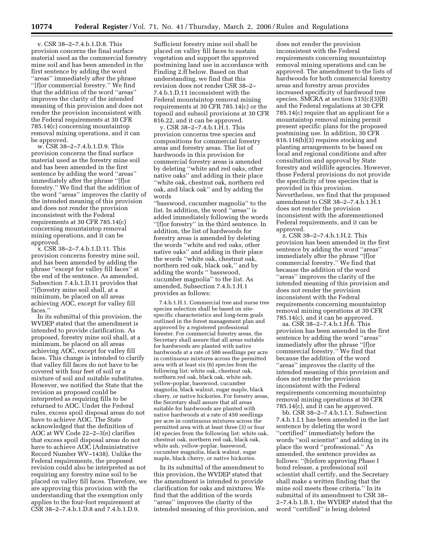v. CSR 38–2–7.4.b.1.D.8. This provision concerns the final surface material used as the commercial forestry mine soil and has been amended in the first sentence by adding the word ''areas'' immediately after the phrase ''[f]or commercial forestry.'' We find that the addition of the word ''areas'' improves the clarity of the intended meaning of this provision and does not render the provision inconsistent with the Federal requirements at 30 CFR 785.14(c) concerning mountaintop removal mining operations, and it can be approved.

w. CSR 38–2–7.4.b.1.D.9. This provision concerns the final surface material used as the forestry mine soil and has been amended in the first sentence by adding the word ''areas'' immediately after the phrase ''[f]or forestry.'' We find that the addition of the word ''areas'' improves the clarity of the intended meaning of this provision and does not render the provision inconsistent with the Federal requirements at 30 CFR 785.14(c) concerning mountaintop removal mining operations, and it can be approved.

x. CSR 38–2–7.4.b.1.D.11. This provision concerns forestry mine soil, and has been amended by adding the phrase ''except for valley fill faces'' at the end of the sentence. As amended, Subsection 7.4.b.1.D.11 provides that ''[f]orestry mine soil shall, at a minimum, be placed on all areas achieving AOC, except for valley fill faces<sup>'</sup>

In its submittal of this provision, the WVDEP stated that the amendment is intended to provide clarification. As proposed, forestry mine soil shall, at a minimum, be placed on all areas achieving AOC, except for valley fill faces. This change is intended to clarify that valley fill faces do not have to be covered with four feet of soil or a mixture of soil and suitable substitutes. However, we notified the State that the revision as proposed could be interpreted as requiring fills to be returned to AOC. Under the Federal rules, excess spoil disposal areas do not have to achieve AOC. The State acknowledged that the definition of AOC at WV Code 22–2–3(e) clarifies that excess spoil disposal areas do not have to achieve AOC (Administrative Record Number WV–1438). Unlike the Federal requirements, the proposed revision could also be interpreted as not requiring any forestry mine soil to be placed on valley fill faces. Therefore, we are approving this provision with the understanding that the exemption only applies to the four-foot requirement at CSR 38–2–7.4.b.1.D.8 and 7.4.b.1.D.9.

Sufficient forestry mine soil shall be placed on valley fill faces to sustain vegetation and support the approved postmining land use in accordance with Finding 2.ff below. Based on that understanding, we find that this revision does not render CSR 38–2– 7.4.b.1.D.11 inconsistent with the Federal mountaintop removal mining requirements at 30 CFR 785.14(c) or the topsoil and subsoil provisions at 30 CFR 816.22, and it can be approved.

y. CSR 38–2–7.4.b.1.H.1. This provision concerns tree species and compositions for commercial forestry areas and forestry areas. The list of hardwoods in this provision for commercial forestry areas is amended by deleting ''white and red oaks, other native oaks'' and adding in their place ''white oak, chestnut oak, northern red oak, and black oak'' and by adding the words

''basswood, cucumber magnolia'' to the list. In addition, the word ''areas'' is added immediately following the words ''[f]or forestry'' in the third sentence. In addition, the list of hardwoods for forestry areas is amended by deleting the words ''white and red oaks, other native oaks'' and adding in their place the words ''white oak, chestnut oak, northern red oak, black oak,'' and by adding the words '' basswood, cucumber magnolia'' to the list. As amended, Subsection 7.4.b.1.H.1 provides as follows:

7.4.b.1.H.1. Commercial tree and nurse tree species selection shall be based on sitespecific characteristics and long-term goals outlined in the forest management plan and approved by a registered professional forester. For commercial forestry areas, the Secretary shall assure that all areas suitable for hardwoods are planted with native hardwoods at a rate of 500 seedlings per acre in continuous mixtures across the permitted area with at least six (6) species from the following list: white oak, chestnut oak, northern red oak, black oak, white ash, yellow-poplar, basswood, cucumber magnolia, black walnut, sugar maple, black cherry, or native hickories. For forestry areas, the Secretary shall assure that all areas suitable for hardwoods are planted with native hardwoods at a rate of 450 seedlings per acre in continuous mixtures across the permitted area with at least three (3) or four (4) species from the following list: white oak, chestnut oak, northern red oak, black oak, white ash, yellow-poplar, basswood, cucumber magnolia, black walnut, sugar maple, black cherry, or native hickories.

In its submittal of the amendment to this provision, the WVDEP stated that the amendment is intended to provide clarification for oaks and mixtures. We find that the addition of the words ''areas'' improves the clarity of the intended meaning of this provision, and

does not render the provision inconsistent with the Federal requirements concerning mountaintop removal mining operations and can be approved. The amendment to the lists of hardwoods for both commercial forestry areas and forestry areas provides increased specificity of hardwood tree species. SMCRA at section 515(c)(3)(B) and the Federal regulations at 30 CFR 785.14(c) require that an applicant for a mountaintop removal mining permit present specific plans for the proposed postmining use. In addition, 30 CFR 816.116(b)(3) requires stocking and planting arrangements to be based on local and regional conditions and after consultation and approval by State forestry and wildlife agencies. However, those Federal provisions do not provide the specificity of tree species that is provided in this provision. Nevertheless, we find that the proposed amendment to CSR 38–2–7.4.b.1.H.1 does not render the provision inconsistent with the aforementioned Federal requirements, and it can be approved.

z. CSR 38–2–7.4.b.1.H.2. This provision has been amended in the first sentence by adding the word ''areas'' immediately after the phrase ''[f]or commercial forestry.'' We find that because the addition of the word ''areas'' improves the clarity of the intended meaning of this provision and does not render the provision inconsistent with the Federal requirements concerning mountaintop removal mining operations at 30 CFR 785.14(c), and it can be approved.

aa. CSR 38–2–7.4.b.1.H.6. This provision has been amended in the first sentence by adding the word ''areas'' immediately after the phrase ''[f]or commercial forestry.'' We find that because the addition of the word ''areas'' improves the clarity of the intended meaning of this provision and does not render the provision inconsistent with the Federal requirements concerning mountaintop removal mining operations at 30 CFR 785.14(c), and it can be approved.

bb. CSR 38–2–7.4.b.1.I.1. Subsection 7.4.b.1.I.1 has been amended in the last sentence by deleting the word ''certified'' immediately before the words ''soil scientist'' and adding in its place the word ''professional.'' As amended, the sentence provides as follows: ''[b]efore approving Phase I bond release, a professional soil scientist shall certify, and the Secretary shall make a written finding that the mine soil meets these criteria.'' In its submittal of its amendment to CSR 38– 2–7.4.b.1.B.1, the WVDEP stated that the word ''certified'' is being deleted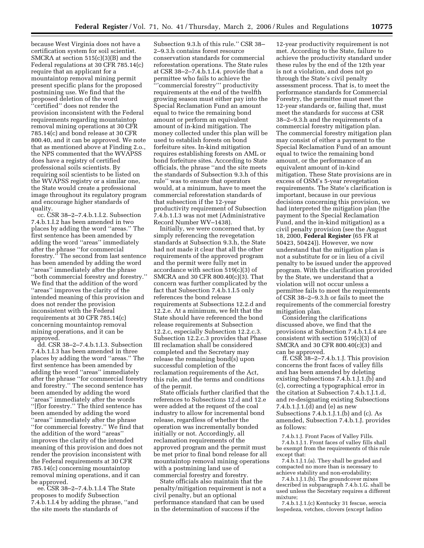because West Virginia does not have a certification system for soil scientist. SMCRA at section 515(c)(3)(B) and the Federal regulations at 30 CFR 785.14(c) require that an applicant for a mountaintop removal mining permit present specific plans for the proposed postmining use. We find that the proposed deletion of the word ''certified'' does not render the provision inconsistent with the Federal requirements regarding mountaintop removal mining operations at 30 CFR 785.14(c) and bond release at 30 CFR 800.40, and it can be approved. We note that as mentioned above at Finding 2.o., the NPS commented that the WVAPSS does have a registry of certified professional soils scientists. By requiring soil scientists to be listed on the WVAPSS registry or a similar one, the State would create a professional image throughout its regulatory program and encourage higher standards of quality.

cc. CSR 38–2–7.4.b.1.I.2. Subsection 7.4.b.1.I.2 has been amended in two places by adding the word ''areas.'' The first sentence has been amended by adding the word ''areas'' immediately after the phrase ''for commercial forestry.'' The second from last sentence has been amended by adding the word ''areas'' immediately after the phrase ''both commercial forestry and forestry.'' We find that the addition of the word ''areas'' improves the clarity of the intended meaning of this provision and does not render the provision inconsistent with the Federal requirements at 30 CFR 785.14(c) concerning mountaintop removal mining operations, and it can be approved.

dd. CSR 38–2–7.4.b.1.I.3. Subsection 7.4.b.1.I.3 has been amended in three places by adding the word ''areas.'' The first sentence has been amended by adding the word ''areas'' immediately after the phrase ''for commercial forestry and forestry.'' The second sentence has been amended by adding the word ''areas'' immediately after the words ''[f]or forestry.'' The third sentence has been amended by adding the word ''areas'' immediately after the phrase ''for commercial forestry.'' We find that the addition of the word ''areas'' improves the clarity of the intended meaning of this provision and does not render the provision inconsistent with the Federal requirements at 30 CFR 785.14(c) concerning mountaintop removal mining operations, and it can be approved.

ee. CSR 38–2–7.4.b.1.I.4 The State proposes to modify Subsection 7.4.b.1.I.4 by adding the phrase, ''and the site meets the standards of

Subsection 9.3.h of this rule.'' CSR 38– 2–9.3.h contains forest resource conservation standards for commercial reforestation operations. The State rules at CSR 38–2–7.4.b.1.I.4. provide that a permittee who fails to achieve the '''commercial forestry''' productivity requirements at the end of the twelfth growing season must either pay into the Special Reclamation Fund an amount equal to twice the remaining bond amount or perform an equivalent amount of in-kind mitigation. The money collected under this plan will be used to establish forests on bond forfeiture sites. In-kind mitigation requires establishing forests on AML or bond forfeiture sites. According to State officials, the phrase ''and the site meets the standards of Subsection 9.3.h of this rule'' was to ensure that operators would, at a minimum, have to meet the commercial reforestation standards of that subsection if the 12-year productivity requirement of Subsection

Record Number WV–1438). Initially, we were concerned that, by simply referencing the revegetation standards at Subsection 9.3.h, the State had not made it clear that all the other requirements of the approved program and the permit were fully met in accordance with section 519(c)(3) of SMCRA and 30 CFR 800.40(c)(3). That concern was further complicated by the fact that Subsection 7.4.b.1.I.5 only references the bond release requirements at Subsections 12.2.d and 12.2.e. At a minimum, we felt that the State should have referenced the bond release requirements at Subsection 12.2.c, especially Subsection 12.2.c.3. Subsection 12.2.c.3 provides that Phase III reclamation shall be considered completed and the Secretary may release the remaining bond(s) upon successful completion of the reclamation requirements of the Act, this rule, and the terms and conditions of the permit.

7.4.b.1.I.3 was not met (Administrative

State officials further clarified that the references to Subsections 12.d and 12.e were added at the request of the coal industry to allow for incremental bond release, regardless of whether the operation was incrementally bonded initially or not. Accordingly, all reclamation requirements of the approved program and the permit must be met prior to final bond release for all mountaintop removal mining operations with a postmining land use of commercial forestry and forestry.

State officials also maintain that the penalty/mitigation requirement is not a civil penalty, but an optional performance standard that can be used in the determination of success if the

12-year productivity requirement is not met. According to the State, failure to achieve the productivity standard under these rules by the end of the 12th year is not a violation, and does not go through the State's civil penalty assessment process. That is, to meet the performance standards for Commercial Forestry, the permittee must meet the 12-year standards or, failing that, must meet the standards for success at CSR 38–2–9.3.h and the requirements of a commercial forestry mitigation plan. The commercial forestry mitigation plan may consist of either a payment to the Special Reclamation Fund of an amount equal to twice the remaining bond amount, or the performance of an equivalent amount of in-kind mitigation. These State provisions are in excess of OSM's 5-year revegetation requirements. The State's clarification is important, because in our previous decisions concerning this provision, we had interpreted the mitigation plan (the payment to the Special Reclamation Fund, and the in-kind mitigation) as a civil penalty provision (see the August 18, 2000, **Federal Register** (65 FR at 50423, 50424)). However, we now understand that the mitigation plan is not a substitute for or in lieu of a civil penalty to be issued under the approved program. With the clarification provided by the State, we understand that a violation will not occur unless a permittee fails to meet the requirements of CSR 38–2–9.3.h or fails to meet the requirements of the commercial forestry mitigation plan.

Considering the clarifications discussed above, we find that the provisions at Subsection 7.4.b.1.I.4 are consistent with section 519(c)(3) of SMCRA and 30 CFR 800.40(c)(3) and can be approved.

ff. CSR 38–2–7.4.b.1.J. This provision concerns the front faces of valley fills and has been amended by deleting existing Subsections 7.4.b.1.J.1.(b) and (c), correcting a typographical error in the citation at Subsection 7.4.b.1.J.1.d, and re-designating existing Subsections 7.4.b.1.J.1.(d) and (e) as new Subsections 7.4.b.1.J.1.(b) and (c). As amended, Subsection 7.4.b.1.J. provides as follows:

7.4.b.1.J. Front Faces of Valley Fills. 7.4.b.1.J.1. Front faces of valley fills shall be exempt from the requirements of this rule except that:

7.4.b.1.J.1.(a). They shall be graded and compacted no more than is necessary to achieve stability and non-erodability;

7.4.b.1.J.1.(b). The groundcover mixes described in subparagraph 7.4.b.1.G. shall be used unless the Secretary requires a different mixture;

7.4.b.1.J.1.(c) Kentucky 31 fescue, serecia lespedeza, vetches, clovers (except ladino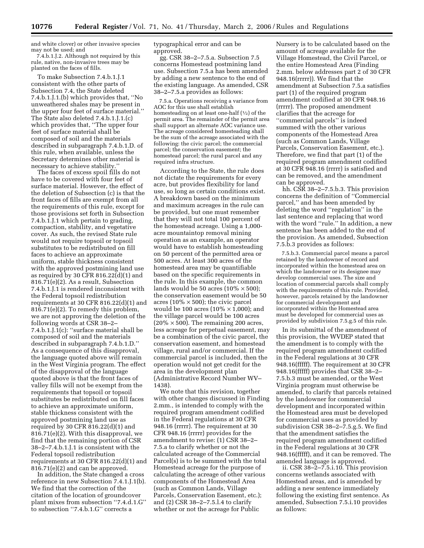and white clover) or other invasive species may not be used; and

7.4.b.1.J.2. Although not required by this rule, native, non-invasive trees may be planted on the faces of fills.

To make Subsection 7.4.b.1.J.1 consistent with the other parts of Subsection 7.4, the State deleted 7.4.b.1.J.1.(b) which provides that, ''No unweathered shales may be present in the upper four feet of surface material.'' The State also deleted 7.4.b.1.J.1.(c) which provides that, ''The upper four feet of surface material shall be composed of soil and the materials described in subparagraph 7.4.b.1.D. of this rule, when available, unless the Secretary determines other material is necessary to achieve stability.''

The faces of excess spoil fills do not have to be covered with four feet of surface material. However, the effect of the deletion of Subsection (c) is that the front faces of fills are exempt from all the requirements of this rule, except for those provisions set forth in Subsection 7.4.b.1.J.1 which pertain to grading, compaction, stability, and vegetative cover. As such, the revised State rule would not require topsoil or topsoil substitutes to be redistributed on fill faces to achieve an approximate uniform, stable thickness consistent with the approved postmining land use as required by 30 CFR 816.22(d)(1) and 816.71(e)(2). As a result, Subsection 7.4.b.1.J.1 is rendered inconsistent with the Federal topsoil redistribution requirements at 30 CFR 816.22(d)(1) and 816.71(e)(2). To remedy this problem, we are not approving the deletion of the following words at CSR 38–2– 7.4.b.1.J.1(c): ''surface material shall be composed of soil and the materials described in subparagraph 7.4.b.1.D.'' As a consequence of this disapproval, the language quoted above will remain in the West Virginia program. The effect of the disapproval of the language quoted above is that the front faces of valley fills will not be exempt from the requirements that topsoil or topsoil substitutes be redistributed on fill faces to achieve an approximate uniform, stable thickness consistent with the approved postmining land use as required by 30 CFR 816.22(d)(1) and 816.71(e)(2). With this disapproval, we find that the remaining portion of CSR 38–2–7.4.b.1.J.1 is consistent with the Federal topsoil redistribution requirements at 30 CFR 816.22(d)(1) and 816.71(e)(2) and can be approved.

In addition, the State changed a cross reference in new Subsection 7.4.1.J.1(b). We find that the correction of the citation of the location of groundcover plant mixes from subsection ''7.4.d.1.G'' to subsection ''7.4.b.1.G'' corrects a

typographical error and can be approved.

gg. CSR 38–2–7.5.a. Subsection 7.5 concerns Homestead postmining land use. Subsection 7.5.a has been amended by adding a new sentence to the end of the existing language. As amended, CSR 38–2–7.5.a provides as follows:

7.5.a. Operations receiving a variance from AOC for this use shall establish homesteading on at least one-half (1/2) of the permit area. The remainder of the permit area shall support an alternate AOC variance use. The acreage considered homesteading shall be the sum of the acreage associated with the following: the civic parcel; the commercial parcel; the conservation easement; the homestead parcel; the rural parcel and any required infra structure.

According to the State, the rule does not dictate the requirements for every acre, but provides flexibility for land use, so long as certain conditions exist. A breakdown based on the minimum and maximum acreages in the rule can be provided, but one must remember that they will not total 100 percent of the homestead acreage. Using a 1,000 acre mountaintop removal mining operation as an example, an operator would have to establish homesteading on 50 percent of the permitted area or 500 acres. At least 300 acres of the homestead area may be quantifiable based on the specific requirements in the rule. In this example, the common lands would be 50 acres ( $10\% \times 500$ ); the conservation easement would be 50 acres (10%  $\times$  500); the civic parcel would be 100 acres ( $10\% \times 1,000$ ); and the village parcel would be 100 acres  $(20\% \times 500)$ . The remaining 200 acres, less acreage for perpetual easement, may be a combination of the civic parcel, the conservation easement, and homestead village, rural and/or commercial. If the commercial parcel is included, then the operation would not get credit for the area in the development plan (Administrative Record Number WV– 1438).

We note that this revision, together with other changes discussed in Finding 2.mm., is intended to comply with the required program amendment codified in the Federal regulations at 30 CFR 948.16 (rrrrr). The requirement at 30 CFR 948.16 (rrrrr) provides for the amendment to revise: (1) CSR 38–2– 7.5.a to clarify whether or not the calculated acreage of the Commercial Parcel(s) is to be summed with the total Homestead acreage for the purpose of calculating the acreage of other various components of the Homestead Area (such as Common Lands, Village Parcels, Conservation Easement, etc.); and (2) CSR 38–2–7.5.l.4 to clarify whether or not the acreage for Public

Nursery is to be calculated based on the amount of acreage available for the Village Homestead, the Civil Parcel, or the entire Homestead Area (Finding 2.mm. below addresses part 2 of 30 CFR 948.16(rrrrr)). We find that the amendment at Subsection 7.5.a satisfies part (1) of the required program amendment codified at 30 CFR 948.16 (rrrrr). The proposed amendment clarifies that the acreage for ''commercial parcels'' is indeed summed with the other various components of the Homestead Area (such as Common Lands, Village Parcels, Conservation Easement, etc.). Therefore, we find that part (1) of the required program amendment codified at 30 CFR 948.16 (rrrrr) is satisfied and can be removed, and the amendment can be approved.

hh. CSR 38–2–7.5.b.3. This provision concerns the definition of ''Commercial parcel,'' and has been amended by deleting the word ''regulation'' in the last sentence and replacing that word with the word ''rule.'' In addition, a new sentence has been added to the end of the provision. As amended, Subsection 7.5.b.3 provides as follows:

7.5.b.3. Commercial parcel means a parcel retained by the landowner of record and incorporated within the homestead area on which the landowner or its designee may develop commercial uses. The size and location of commercial parcels shall comply with the requirements of this rule. Provided, however, parcels retained by the landowner for commercial development and incorporated within the Homestead area must be developed for commercial uses as provided by subdivision 7.5.g.5 of this rule.

In its submittal of the amendment of this provision, the WVDEP stated that the amendment is to comply with the required program amendment codified in the Federal regulations at 30 CFR 948.16(fffff). The requirement at 30 CFR 948.16(fffff) provides that CSR 38–2– 7.5.b.3 must be amended, or the West Virginia program must otherwise be amended, to clarify that parcels retained by the landowner for commercial development and incorporated within the Homestead area must be developed for commercial uses as provided by subdivision CSR 38–2–7.5.g.5. We find that the amendment satisfies the required program amendment codified in the Federal regulations at 30 CFR 948.16(fffff), and it can be removed. The amended language is approved.

ii. CSR 38–2–7.5.i.10. This provision concerns wetlands associated with Homestead areas, and is amended by adding a new sentence immediately following the existing first sentence. As amended, Subsection 7.5.i.10 provides as follows: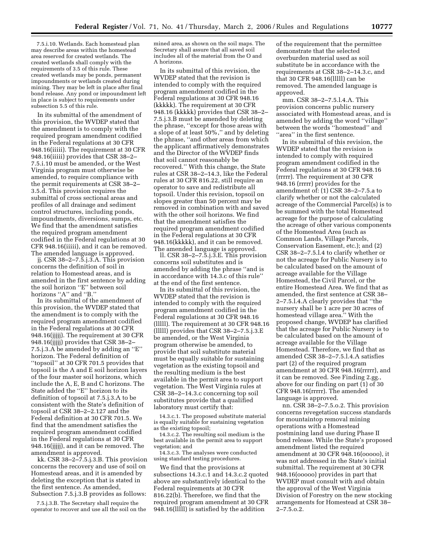7.5.i.10. Wetlands. Each homestead plan may describe areas within the homestead area reserved for created wetlands. The created wetlands shall comply with the requirements of 3.5 of this rule. These created wetlands may be ponds, permanent impoundments or wetlands created during mining. They may be left in place after final bond release. Any pond or impoundment left in place is subject to requirements under subsection 5.5 of this rule.

In its submittal of the amendment of this provision, the WVDEP stated that the amendment is to comply with the required program amendment codified in the Federal regulations at 30 CFR 948.16(iiiii). The requirement at 30 CFR 948.16(iiiii) provides that CSR 38–2– 7.5.i.10 must be amended, or the West Virginia program must otherwise be amended, to require compliance with the permit requirements at CSR 38–2– 3.5.d. This provision requires the submittal of cross sectional areas and profiles of all drainage and sediment control structures, including ponds, impoundments, diversions, sumps, etc. We find that the amendment satisfies the required program amendment codified in the Federal regulations at 30 CFR 948.16(iiiii), and it can be removed. The amended language is approved.

jj. CSR 38–2–7.5.j.3.A. This provision concerns the definition of soil in relation to Homestead areas, and is amended in the first sentence by adding the soil horizon ''E'' between soil horizons "A" and "B."

In its submittal of the amendment of this provision, the WVDEP stated that the amendment is to comply with the required program amendment codified in the Federal regulations at 30 CFR 948.16(jjjjj). The requirement at 30 CFR 948.16(jjjjj) provides that CSR 38–2– 7.5.j.3.A be amended by adding an ''E'' horizon. The Federal definition of ''topsoil'' at 30 CFR 701.5 provides that topsoil is the A and E soil horizon layers of the four master soil horizons, which include the A, E, B and C horizons. The State added the ''E'' horizon to its definition of topsoil at 7.5.j.3.A to be consistent with the State's definition of topsoil at CSR 38–2–2.127 and the Federal definition at 30 CFR 701.5. We find that the amendment satisfies the required program amendment codified in the Federal regulations at 30 CFR 948.16(jjjjj), and it can be removed. The amendment is approved.

kk. CSR 38–2–7.5.j.3.B. This provision concerns the recovery and use of soil on Homestead areas, and it is amended by deleting the exception that is stated in the first sentence. As amended, Subsection 7.5.j.3.B provides as follows:

7.5.j.3.B. The Secretary shall require the operator to recover and use all the soil on the mined area, as shown on the soil maps. The Secretary shall assure that all saved soil includes all of the material from the O and A horizons.

In its submittal of this revision, the WVDEP stated that the revision is intended to comply with the required program amendment codified in the Federal regulations at 30 CFR 948.16 (kkkkk). The requirement at 30 CFR 948.16 (kkkkk) provides that CSR 38–2– 7.5.j.3.B must be amended by deleting the phrase, ''except for those areas with a slope of at least 50%,'' and by deleting the phrase, ''and other areas from which the applicant affirmatively demonstrates and the Director of the WVDEP finds that soil cannot reasonably be recovered.'' With this change, the State rules at CSR 38–2–14.3, like the Federal rules at 30 CFR 816.22, still require an operator to save and redistribute all topsoil. Under this revision, topsoil on slopes greater than 50 percent may be removed in combination with and saved with the other soil horizons. We find that the amendment satisfies the required program amendment codified in the Federal regulations at 30 CFR 948.16(kkkkk), and it can be removed. The amended language is approved.

ll. CSR 38–2–7.5.j.3.E. This provision concerns soil substitutes and is amended by adding the phrase ''and is in accordance with 14.3.c of this rule'' at the end of the first sentence.

In its submittal of this revision, the WVDEP stated that the revision is intended to comply with the required program amendment codified in the Federal regulations at 30 CFR 948.16 (lllll). The requirement at 30 CFR 948.16 (lllll) provides that CSR 38–2–7.5.j.3.E be amended, or the West Virginia program otherwise be amended, to provide that soil substitute material must be equally suitable for sustaining vegetation as the existing topsoil and the resulting medium is the best available in the permit area to support vegetation. The West Virginia rules at CSR 38–2–14.3.c concerning top soil substitutes provide that a qualified laboratory must certify that:

14.3.c.1. The proposed substitute material is equally suitable for sustaining vegetation as the existing topsoil;

14.3.c.2. The resulting soil medium is the best available in the permit area to support vegetation; and

14.3.c.3. The analyses were conducted using standard testing procedures.

We find that the provisions at subsections 14.3.c.1 and 14.3.c.2 quoted above are substantively identical to the Federal requirements at 30 CFR 816.22(b). Therefore, we find that the required program amendment at 30 CFR 948.16(lllll) is satisfied by the addition

of the requirement that the permittee demonstrate that the selected overburden material used as soil substitute be in accordance with the requirements at CSR 38–2–14.3.c, and that 30 CFR 948.16(lllll) can be removed. The amended language is approved.

mm. CSR 38–2–7.5.l.4.A. This provision concerns public nursery associated with Homestead areas, and is amended by adding the word ''village'' between the words ''homestead'' and ''area'' in the first sentence.

In its submittal of this revision, the WVDEP stated that the revision is intended to comply with required program amendment codified in the Federal regulations at 30 CFR 948.16 (rrrrr). The requirement at 30 CFR 948.16 (rrrrr) provides for the amendment of: (1) CSR 38–2–7.5.a to clarify whether or not the calculated acreage of the Commercial Parcel(s) is to be summed with the total Homestead acreage for the purpose of calculating the acreage of other various components of the Homestead Area (such as Common Lands, Village Parcels, Conservation Easement, etc.); and (2) CSR 38–2–7.5.l.4 to clarify whether or not the acreage for Public Nursery is to be calculated based on the amount of acreage available for the Village Homestead, the Civil Parcel, or the entire Homestead Area. We find that as amended, the first sentence at CSR 38– 2–7.5.l.4.A clearly provides that ''the nursery shall be 1 acre per 30 acres of homestead village area.'' With the proposed change, WVDEP has clarified that the acreage for Public Nursery is to be calculated based on the amount of acreage available for the Village Homestead. Therefore, we find that as amended CSR 38–2–7.5.l.4.A satisfies part (2) of the required program amendment at 30 CFR 948.16(rrrrr), and it can be removed. See Finding 2.gg., above for our finding on part (1) of 30 CFR 948.16(rrrrr). The amended language is approved.

nn. CSR 38–2–7.5.o.2. This provision concerns revegetation success standards for mountaintop removal mining operations with a Homestead postmining land use during Phase II bond release. While the State's proposed amendment listed the required amendment at 30 CFR 948.16(ooooo), it was not addressed in the State's initial submittal. The requirement at 30 CFR 948.16(ooooo) provides in part that WVDEP must consult with and obtain the approval of the West Virginia Division of Forestry on the new stocking arrangements for Homestead at CSR 38– 2–7.5.o.2.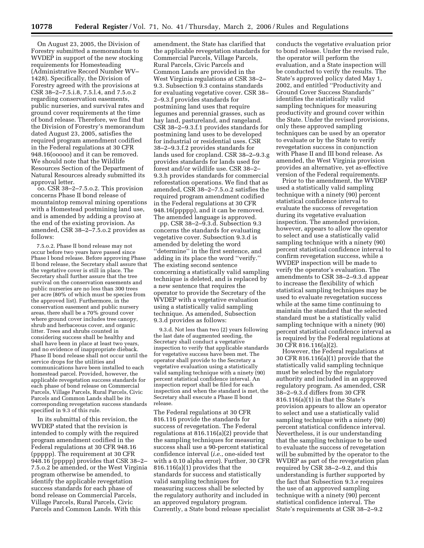On August 23, 2005, the Division of Forestry submitted a memorandum to WVDEP in support of the new stocking requirements for Homesteading (Administrative Record Number WV– 1428). Specifically, the Division of Forestry agreed with the provisions at CSR 38–2–7.5.i.8, 7.5.l.4, and 7.5.o.2 regarding conservation easements, public nurseries, and survival rates and ground cover requirements at the time of bond release. Therefore, we find that the Division of Forestry's memorandum dated August 23, 2005, satisfies the required program amendment codified in the Federal regulations at 30 CFR 948.16(ooooo) and it can be removed. We should note that the Wildlife Resources Section of the Department of Natural Resources already submitted its approval letter.

oo. CSR 38–2–7.5.o.2. This provision concerns Phase II bond release of mountaintop removal mining operations with a Homestead postmining land use, and is amended by adding a proviso at the end of the existing provision. As amended, CSR 38–2–7.5.o.2 provides as follows:

7.5.o.2. Phase II bond release may not occur before two years have passed since Phase I bond release. Before approving Phase II bond release, the Secretary shall assure that the vegetative cover is still in place. The Secretary shall further assure that the tree survival on the conservation easements and public nurseries are no less than 300 trees per acre (80% of which must be species from the approved list). Furthermore, in the conservation easement and public nursery areas, there shall be a 70% ground cover where ground cover includes tree canopy, shrub and herbaceous cover, and organic litter. Trees and shrubs counted in considering success shall be healthy and shall have been in place at least two years, and no evidence of inappropriate dieback. Phase II bond release shall not occur until the service drops for the utilities and communications have been installed to each homestead parcel. Provided, however, the applicable revegetation success standards for each phase of bond release on Commercial Parcels, Village Parcels, Rural Parcels, Civic Parcels and Common Lands shall be its corresponding revegetation success standards specified in 9.3 of this rule.

In its submittal of this revision, the WVDEP stated that the revision is intended to comply with the required program amendment codified in the Federal regulations at 30 CFR 948.16 (ppppp). The requirement at 30 CFR 948.16 (ppppp) provides that CSR 38–2– 7.5.o.2 be amended, or the West Virginia program otherwise be amended, to identify the applicable revegetation success standards for each phase of bond release on Commercial Parcels, Village Parcels, Rural Parcels, Civic Parcels and Common Lands. With this

amendment, the State has clarified that the applicable revegetation standards for Commercial Parcels, Village Parcels, Rural Parcels, Civic Parcels and Common Lands are provided in the West Virginia regulations at CSR 38–2– 9.3. Subsection 9.3 contains standards for evaluating vegetative cover. CSR 38– 2–9.3.f provides standards for postmining land uses that require legumes and perennial grasses, such as hay land, pastureland, and rangeland. CSR 38–2–9.3.f.1 provides standards for postmining land uses to be developed for industrial or residential uses. CSR 38–2–9.3.f.2 provides standards for lands used for cropland. CSR 38–2–9.3.g provides standards for lands used for forest and/or wildlife use. CSR 38–2– 9.3.h provides standards for commercial reforestation operations. We find that as amended, CSR 38–2–7.5.o.2 satisfies the required program amendment codified in the Federal regulations at 30 CFR 948.16(ppppp), and it can be removed. The amended language is approved.

pp. CSR 38–2–9.3.d. Subsection 9.3 concerns the standards for evaluating vegetative cover. Subsection 9.3.d is amended by deleting the word ''determine'' in the first sentence, and adding in its place the word ''verify.'' The existing second sentence concerning a statistically valid sampling technique is deleted, and is replaced by a new sentence that requires the operator to provide the Secretary of the WVDEP with a vegetative evaluation using a statistically valid sampling technique. As amended, Subsection 9.3.d provides as follows:

9.3.d. Not less than two (2) years following the last date of augmented seeding, the Secretary shall conduct a vegetative inspection to verify that applicable standards for vegetative success have been met. The operator shall provide to the Secretary a vegetative evaluation using a statistically valid sampling technique with a ninety (90) percent statistical confidence interval. An inspection report shall be filed for each inspection and when the standard is met, the Secretary shall execute a Phase II bond release.

The Federal regulations at 30 CFR 816.116 provide the standards for success of revegetation. The Federal regulations at 816.116(a)(2) provide that the sampling techniques for measuring success shall use a 90-percent statistical confidence interval (*i.e.*, one-sided test with a 0.10 alpha error). Further, 30 CFR 816.116(a)(1) provides that the standards for success and statistically valid sampling techniques for measuring success shall be selected by the regulatory authority and included in an approved regulatory program. Currently, a State bond release specialist

conducts the vegetative evaluation prior to bond release. Under the revised rule, the operator will perform the evaluation, and a State inspection will be conducted to verify the results. The State's approved policy dated May 1, 2002, and entitled ''Productivity and Ground Cover Success Standards'' identifies the statistically valid sampling techniques for measuring productivity and ground cover within the State. Under the revised provisions, only these approved sampling techniques can be used by an operator to evaluate or by the State to verify revegetation success in conjunction with Phase II and III bond release. As amended, the West Virginia provision provides an alternative, yet as-effective version of the Federal requirements.

Prior to the amendment, the WVDEP used a statistically valid sampling technique with a ninety (90) percent statistical confidence interval to evaluate the success of revegetation during its vegetative evaluation inspection. The amended provision, however, appears to allow the operator to select and use a statistically valid sampling technique with a ninety (90) percent statistical confidence interval to confirm revegetation success, while a WVDEP inspection will be made to verify the operator's evaluation. The amendments to CSR 38–2–9.3.d appear to increase the flexibility of which statistical sampling techniques may be used to evaluate revegetation success while at the same time continuing to maintain the standard that the selected standard must be a statistically valid sampling technique with a ninety (90) percent statistical confidence interval as is required by the Federal regulations at 30 CFR 816.116(a)(2).

However, the Federal regulations at 30 CFR 816.116(a)(1) provide that the statistically valid sampling technique must be selected by the regulatory authority and included in an approved regulatory program. As amended, CSR 38–2–9.3.d differs from 30 CFR 816.116(a)(1) in that the State's provision appears to allow an operator to select and use a statistically valid sampling technique with a ninety (90) percent statistical confidence interval. Nevertheless, it is our understanding that the sampling technique to be used to evaluate the success of revegetation will be submitted by the operator to the WVDEP as part of the revegetation plan required by CSR 38–2–9.2, and this understanding is further supported by the fact that Subsection 9.3.e requires the use of an approved sampling technique with a ninety (90) percent statistical confidence interval. The State's requirements at CSR 38–2–9.2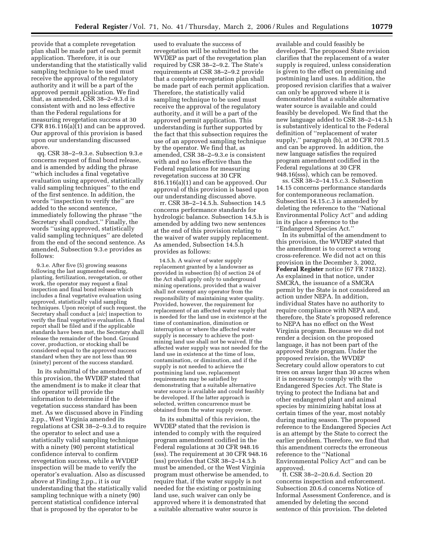provide that a complete revegetation plan shall be made part of each permit application. Therefore, it is our understanding that the statistically valid sampling technique to be used must receive the approval of the regulatory authority and it will be a part of the approved permit application. We find that, as amended, CSR 38–2–9.3.d is consistent with and no less effective than the Federal regulations for measuring revegetation success at 30 CFR 816.116(a)(1) and can be approved. Our approval of this provision is based upon our understanding discussed above.

qq. CSR 38–2–9.3.e. Subsection 9.3.e concerns request of final bond release, and is amended by adding the phrase ''which includes a final vegetative evaluation using approved, statistically valid sampling techniques'' to the end of the first sentence. In addition, the words ''inspection to verify the'' are added to the second sentence, immediately following the phrase ''the Secretary shall conduct.'' Finally, the words ''using approved, statistically valid sampling techniques'' are deleted from the end of the second sentence. As amended, Subsection 9.3.e provides as follows:

9.3.e. After five (5) growing seasons following the last augmented seeding, planting, fertilization, revegetation, or other work, the operator may request a final inspection and final bond release which includes a final vegetative evaluation using approved, statistically valid sampling techniques. Upon receipt of such request, the Secretary shall conduct a [*sic*] inspection to verify the final vegetative evaluation. A final report shall be filed and if the applicable standards have been met, the Secretary shall release the remainder of the bond. Ground cover, production, or stocking shall be considered equal to the approved success standard when they are not less than 90 (ninety) percent of the success standard.

In its submittal of the amendment of this provision, the WVDEP stated that the amendment is to make it clear that the operator will provide the information to determine if the vegetation success standard has been met. As we discussed above in Finding 2.pp., West Virginia amended its regulations at CSR 38–2–9.3.d to require the operator to select and use a statistically valid sampling technique with a ninety (90) percent statistical confidence interval to confirm revegetation success, while a WVDEP inspection will be made to verify the operator's evaluation. Also as discussed above at Finding 2.pp., it is our understanding that the statistically valid sampling technique with a ninety (90) percent statistical confidence interval that is proposed by the operator to be

used to evaluate the success of revegetation will be submitted to the WVDEP as part of the revegetation plan required by CSR 38–2–9.2. The State's requirements at CSR 38–2–9.2 provide that a complete revegetation plan shall be made part of each permit application. Therefore, the statistically valid sampling technique to be used must receive the approval of the regulatory authority, and it will be a part of the approved permit application. This understanding is further supported by the fact that this subsection requires the use of an approved sampling technique by the operator. We find that, as amended, CSR 38–2–9.3.e is consistent with and no less effective than the Federal regulations for measuring revegetation success at 30 CFR 816.116(a)(1) and can be approved. Our approval of this provision is based upon our understanding discussed above.

rr. CSR 38–2–14.5.h. Subsection 14.5 concerns performance standards for hydrologic balance. Subsection 14.5.h is amended by adding two new sentences at the end of this provision relating to the waiver of water supply replacement. As amended, Subsection 14.5.h provides as follows:

14.5.h. A waiver of water supply replacement granted by a landowner as provided in subsection (b) of section 24 of the Act shall apply only to underground mining operations, provided that a waiver shall not exempt any operator from the responsibility of maintaining water quality. Provided, however, the requirement for replacement of an affected water supply that is needed for the land use in existence at the time of contamination, diminution or interruption or where the affected water supply is necessary to achieve the postmining land use shall not be waived. If the affected water supply was not needed for the land use in existence at the time of loss, contamination, or diminution, and if the supply is not needed to achieve the postmining land use, replacement requirements may be satisfied by demonstrating that a suitable alternative water source is available and could feasibly be developed. If the latter approach is selected, written concurrence must be obtained from the water supply owner.

In its submittal of this revision, the WVDEP stated that the revision is intended to comply with the required program amendment codified in the Federal regulations at 30 CFR 948.16 (sss). The requirement at 30 CFR 948.16 (sss) provides that CSR 38–2–14.5.h must be amended, or the West Virginia program must otherwise be amended, to require that, if the water supply is not needed for the existing or postmining land use, such waiver can only be approved where it is demonstrated that a suitable alternative water source is

available and could feasibly be developed. The proposed State revision clarifies that the replacement of a water supply is required, unless consideration is given to the effect on premining and postmining land uses. In addition, the proposed revision clarifies that a waiver can only be approved where it is demonstrated that a suitable alternative water source is available and could feasibly be developed. We find that the new language added to CSR 38–2–14.5.h is substantively identical to the Federal definition of ''replacement of water supply,'' paragraph (b), at 30 CFR 701.5 and can be approved. In addition, the new language satisfies the required program amendment codified in the Federal regulations at 30 CFR 948.16(sss), which can be removed.

ss. CSR 38–2–14.15.c.3. Subsection 14.15 concerns performance standards for contemporaneous reclamation. Subsection 14.15.c.3 is amended by deleting the reference to the ''National Environmental Policy Act'' and adding in its place a reference to the ''Endangered Species Act.''

In its submittal of the amendment to this provision, the WVDEP stated that the amendment is to correct a wrong cross-reference. We did not act on this provision in the December 3, 2002, **Federal Register** notice (67 FR 71832). As explained in that notice, under SMCRA, the issuance of a SMCRA permit by the State is not considered an action under NEPA. In addition, individual States have no authority to require compliance with NEPA and, therefore, the State's proposed reference to NEPA has no effect on the West Virginia program. Because we did not render a decision on the proposed language, it has not been part of the approved State program. Under the proposed revision, the WVDEP Secretary could allow operators to cut trees on areas larger than 30 acres when it is necessary to comply with the Endangered Species Act. The State is trying to protect the Indiana bat and other endangered plant and animal species by minimizing habitat loss at certain times of the year, most notably during mating season. The proposed reference to the Endangered Species Act is an attempt by the State to correct the earlier problem. Therefore, we find that this amendment corrects the erroneous reference to the ''National Environmental Policy Act'' and can be approved.

tt. CSR 38–2–20.6.d. Section 20 concerns inspection and enforcement. Subsection 20.6.d concerns Notice of Informal Assessment Conference, and is amended by deleting the second sentence of this provision. The deleted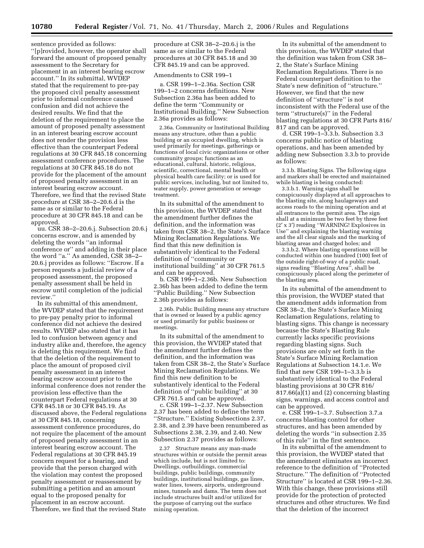sentence provided as follows: ''[p]rovided, however, the operator shall forward the amount of proposed penalty assessment to the Secretary for placement in an interest bearing escrow account.'' In its submittal, WVDEP stated that the requirement to pre-pay the proposed civil penalty assessment prior to informal conference caused confusion and did not achieve the desired results. We find that the deletion of the requirement to place the amount of proposed penalty assessment in an interest bearing escrow account does not render the provision less effective than the counterpart Federal regulations at 30 CFR 845.18 concerning assessment conference procedures. The regulations at 30 CFR 845.18 do not provide for the placement of the amount of proposed penalty assessment in an interest bearing escrow account. Therefore, we find that the revised State procedure at CSR 38–2–20.6.d is the same as or similar to the Federal procedure at 30 CFR 845.18 and can be approved.

uu. CSR 38–2–20.6.j. Subsection 20.6.j concerns escrow, and is amended by deleting the words ''an informal conference or'' and adding in their place the word ''a.'' As amended, CSR 38–2– 20.6.j provides as follows: ''Escrow. If a person requests a judicial review of a proposed assessment, the proposed penalty assessment shall be held in escrow until completion of the judicial review.''

In its submittal of this amendment, the WVDEP stated that the requirement to pre-pay penalty prior to informal conference did not achieve the desired results. WVDEP also stated that it has led to confusion between agency and industry alike and, therefore, the agency is deleting this requirement. We find that the deletion of the requirement to place the amount of proposed civil penalty assessment in an interest bearing escrow account prior to the informal conference does not render the provision less effective than the counterpart Federal regulations at 30 CFR 845.18 or 30 CFR 845.19. As discussed above, the Federal regulations at 30 CFR 845.18, concerning assessment conference procedures, do not require the placement of the amount of proposed penalty assessment in an interest bearing escrow account. The Federal regulations at 30 CFR 845.19 concern request for a hearing, and provide that the person charged with the violation may contest the proposed penalty assessment or reassessment by submitting a petition and an amount equal to the proposed penalty for placement in an escrow account. Therefore, we find that the revised State

procedure at CSR 38–2–20.6.j is the same as or similar to the Federal procedures at 30 CFR 845.18 and 30 CFR 845.19 and can be approved.

# Amendments to CSR 199–1

a. CSR 199–1–2.36a. Section CSR 199–1–2 concerns definitions. New Subsection 2.36a has been added to define the term ''Community or Institutional Building.'' New Subsection 2.36a provides as follows:

2.36a. Community or Institutional Building means any structure, other than a public building or an occupied dwelling, which is used primarily for meetings, gatherings or functions of local civic organizations or other community groups; functions as an educational, cultural, historic, religious, scientific, correctional, mental health or physical health care facility; or is used for public services, including, but not limited to, water supply, power generation or sewage treatment.

In its submittal of the amendment to this provision, the WVDEP stated that the amendment further defines the definition, and the information was taken from CSR 38–2, the State's Surface Mining Reclamation Regulations. We find that this new definition is substantively identical to the Federal definition of ''community or institutional building'' at 30 CFR 761.5 and can be approved.

b. CSR 199–1–2.36b. New Subsection 2.36b has been added to define the term ''Public Building.'' New Subsection 2.36b provides as follows:

2.36b. Public Building means any structure that is owned or leased by a public agency or used primarily for public business or meetings.

In its submittal of the amendment to this provision, the WVDEP stated that the amendment further defines the definition, and the information was taken from CSR 38–2, the State's Surface Mining Reclamation Regulations. We find this new definition to be substantively identical to the Federal definition of ''public building'' at 30 CFR 761.5 and can be approved.

c. CSR 199–1–2.37. New Subsection 2.37 has been added to define the term ''Structure.'' Existing Subsections 2.37, 2.38, and 2.39 have been renumbered as Subsections 2.38, 2.39, and 2.40. New Subsection 2.37 provides as follows:

2.37 Structure means any man-made structures within or outside the permit areas which include, but is not limited to: Dwellings, outbuildings, commercial buildings, public buildings, community buildings, institutional buildings, gas lines, water lines, towers, airports, underground mines, tunnels and dams. The term does not include structures built and/or utilized for the purpose of carrying out the surface mining operation.

In its submittal of the amendment to this provision, the WVDEP stated that the definition was taken from CSR 38– 2, the State's Surface Mining Reclamation Regulations. There is no Federal counterpart definition to the State's new definition of ''structure.'' However, we find that the new definition of ''structure'' is not inconsistent with the Federal use of the term ''structure(s)'' in the Federal blasting regulations at 30 CFR Parts 816/ 817 and can be approved.

d. CSR 199–1–3.3.b. Subsection 3.3 concerns public notice of blasting operations, and has been amended by adding new Subsection 3.3.b to provide as follows:

3.3.b. Blasting Signs. The following signs and markers shall be erected and maintained while blasting is being conducted:

3.3.b.1. Warning signs shall be conspicuously displayed at all approaches to the blasting site, along haulageways and access roads to the mining operation and at all entrances to the permit area. The sign shall at a minimum be two feet by three feet (2′ x 3′) reading ''WARNING! Explosives in Use'' and explaining the blasting warning and the all clear signals and the marking of blasting areas and charged holes; and

3.3.b.2. Where blasting operations will be conducted within one hundred (100) feet of the outside right-of-way of a public road, signs reading ''Blasting Area'', shall be conspicuously placed along the perimeter of the blasting area.

In its submittal of the amendment to this provision, the WVDEP stated that the amendment adds information from CSR 38–2, the State's Surface Mining Reclamation Regulations, relating to blasting signs. This change is necessary because the State's Blasting Rule currently lacks specific provisions regarding blasting signs. Such provisions are only set forth in the State's Surface Mining Reclamation Regulations at Subsection 14.1.e. We find that new CSR 199–1–3.3.b is substantively identical to the Federal blasting provisions at 30 CFR 816/ 817.66(a)(1) and (2) concerning blasting signs, warnings, and access control and can be approved.

e. CSR 199–1–3.7. Subsection 3.7.a concerns blasting control for other structures, and has been amended by deleting the words ''in subsection 2.35 of this rule'' in the first sentence.

In its submittal of the amendment to this provision, the WVDEP stated that the amendment eliminates an incorrect reference to the definition of ''Protected Structure.'' The definition of ''Protected Structure'' is located at CSR 199–1–2.36. With this change, these provisions still provide for the protection of protected structures and other structures. We find that the deletion of the incorrect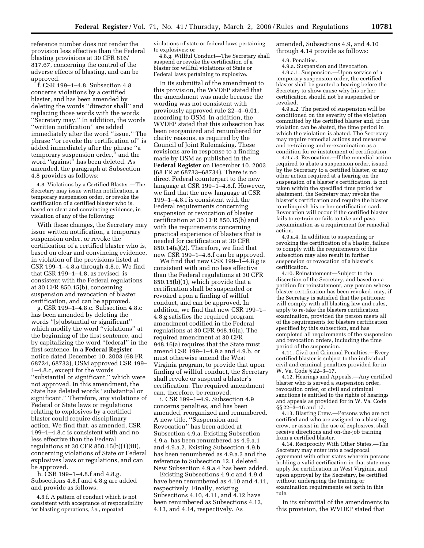reference number does not render the provision less effective than the Federal blasting provisions at 30 CFR 816/ 817.67, concerning the control of the adverse effects of blasting, and can be approved.

f. CSR 199–1–4.8. Subsection 4.8 concerns violations by a certified blaster, and has been amended by deleting the words ''director shall'' and replacing those words with the words ''Secretary may.'' In addition, the words ''written notification'' are added immediately after the word ''issue.'' The phrase ''or revoke the certification of'' is added immediately after the phrase ''a temporary suspension order,'' and the word ''against'' has been deleted. As amended, the paragraph at Subsection 4.8 provides as follows:

4.8. Violations by a Certified Blaster.—The Secretary may issue written notification, a temporary suspension order, or revoke the certification of a certified blaster who is, based on clear and convincing evidence, in violation of any of the following:

With these changes, the Secretary may issue written notification, a temporary suspension order, or revoke the certification of a certified blaster who is, based on clear and convincing evidence, in violation of the provisions listed at CSR 199–1–4.8.a through 4.8.e. We find that CSR 199–1–4.8, as revised, is consistent with the Federal regulations at 30 CFR 850.15(b), concerning suspension and revocation of blaster certification, and can be approved.

g. CSR 199–1–4.8.c. Subsection 4.8.c has been amended by deleting the words ''[s]ubstantial or significant'' which modify the word ''violations'' at the beginning of the first sentence, and by capitalizing the word ''federal'' in the first sentence. In a **Federal Register**  notice dated December 10, 2003 (68 FR 68724, 68733), OSM approved CSR 199– 1–4.8.c, except for the words ''substantial or significant,'' which were not approved. In this amendment, the State has deleted words ''substantial or significant.'' Therefore, any violations of Federal or State laws or regulations relating to explosives by a certified blaster could require disciplinary action. We find that, as amended, CSR 199–1–4.8.c is consistent with and no less effective than the Federal regulations at 30 CFR 850.15(b)(1)(iii), concerning violations of State or Federal explosives laws or regulations, and can be approved.

h. CSR 199–1–4.8.f and 4.8.g. Subsections 4.8.f and 4.8.g are added and provide as follows:

4.8.f. A pattern of conduct which is not consistent with acceptance of responsibility for blasting operations, *i.e.*, repeated

violations of state or federal laws pertaining to explosives; or

4.8.g. Willful Conduct—The Secretary shall suspend or revoke the certification of a blaster for willful violations of State or Federal laws pertaining to explosive.

In its submittal of the amendment to this provision, the WVDEP stated that the amendment was made because the wording was not consistent with previously approved rule 22–4–6.01, according to OSM. In addition, the WVDEP stated that this subsection has been reorganized and renumbered for clarity reasons, as required by the Council of Joint Rulemaking. These revisions are in response to a finding made by OSM as published in the **Federal Register** on December 10, 2003 (68 FR at 68733–68734). There is no direct Federal counterpart to the new language at CSR 199–1–4.8.f. However, we find that the new language at CSR 199–1–4.8.f is consistent with the Federal requirements concerning suspension or revocation of blaster certification at 30 CFR 850.15(b) and with the requirements concerning practical experience of blasters that is needed for certification at 30 CFR 850.14(a)(2). Therefore, we find that new CSR 199–1–4.8.f can be approved.

We find that new CSR 199 $-1$ –4.8.g is consistent with and no less effective than the Federal regulations at 30 CFR 850.15(b)(1), which provide that a certification shall be suspended or revoked upon a finding of willful conduct, and can be approved. In addition, we find that new CSR 199–1– 4.8.g satisfies the required program amendment codified in the Federal regulations at 30 CFR 948.16(a). The required amendment at 30 CFR 948.16(a) requires that the State must amend CSR 199–1–4.9.a and 4.9.b, or must otherwise amend the West Virginia program, to provide that upon finding of willful conduct, the Secretary shall revoke or suspend a blaster's certification. The required amendment can, therefore, be removed.

i. CSR 199–1–4.9. Subsection 4.9 concerns penalties, and has been amended, reorganized and renumbered. A new title, ''Suspension and Revocation'' has been added at Subsection 4.9.a. Existing Subsection 4.9.a. has been renumbered as 4.9.a.1 and 4.9.a.2. Existing Subsection 4.9.b has been renumbered as 4.9.a.3 and the reference to Subsection 12.1 deleted. New Subsection 4.9.a.4 has been added.

Existing Subsections 4.9.c and 4.9.d have been renumbered as 4.10 and 4.11, respectively. Finally, existing Subsections 4.10, 4.11, and 4.12 have been renumbered as Subsections 4.12, 4.13, and 4.14, respectively. As

amended, Subsections 4.9, and 4.10 through 4.14 provide as follows:

4.9. Penalties.

4.9.a. Suspension and Revocation. 4.9.a.1. Suspension.—Upon service of a temporary suspension order, the certified blaster shall be granted a hearing before the Secretary to show cause why his or her certification should not be suspended or revoked.

4.9.a.2. The period of suspension will be conditioned on the severity of the violation committed by the certified blaster and, if the violation can be abated, the time period in which the violation is abated. The Secretary may require remedial actions and measures and re-training and re-examination as a condition for re-instatement of certification.

4.9.a.3. Revocation.—If the remedial action required to abate a suspension order, issued by the Secretary to a certified blaster, or any other action required at a hearing on the suspension of a blaster's certification, is not taken within the specified time period for abatement, the Secretary may revoke the blaster's certification and require the blaster to relinquish his or her certification card. Revocation will occur if the certified blaster fails to re-train or fails to take and pass reexamination as a requirement for remedial action.

4.9.a.4. In addition to suspending or revoking the certification of a blaster, failure to comply with the requirements of this subsection may also result in further suspension or revocation of a blaster's certification.

4.10. Reinstatement—Subject to the discretion of the Secretary, and based on a petition for reinstatement, any person whose blaster certification has been revoked, may, if the Secretary is satisfied that the petitioner will comply with all blasting law and rules, apply to re-take the blasters certification examination, provided the person meets all of the requirements for blasters certification specified by this subsection, and has completed all requirements of the suspension and revocation orders, including the time period of the suspension.

4.11. Civil and Criminal Penalties.—Every certified blaster is subject to the individual civil and criminal penalties provided for in W. Va. Code § 22–3–17.

4.12. Hearings and Appeals.—Any certified blaster who is served a suspension order, revocation order, or civil and criminal sanctions is entitled to the rights of hearings and appeals as provided for in W. Va. Code §§ 22–3–16 and 17.

4.13. Blasting Crew.—Persons who are not certified and who are assigned to a blasting crew, or assist in the use of explosives, shall receive directions and on-the-job training from a certified blaster.

4.14. Reciprocity With Other States.—The Secretary may enter into a reciprocal agreement with other states wherein persons holding a valid certification in that state may apply for certification in West Virginia, and upon approval by the Secretary, be certified without undergoing the training or examination requirements set forth in this rule.

In its submittal of the amendments to this provision, the WVDEP stated that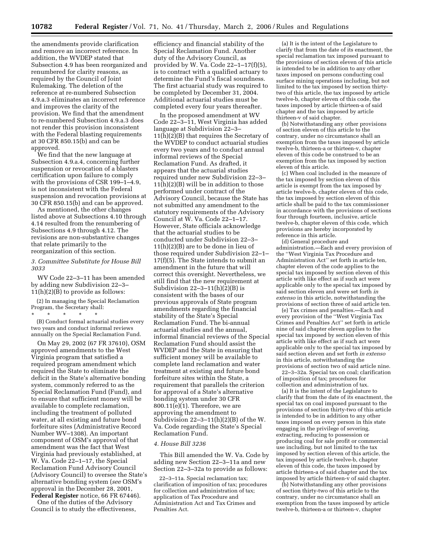the amendments provide clarification and remove an incorrect reference. In addition, the WVDEP stated that Subsection 4.9 has been reorganized and renumbered for clarity reasons, as required by the Council of Joint Rulemaking. The deletion of the reference at re-numbered Subsection 4.9.a.3 eliminates an incorrect reference and improves the clarity of the provision. We find that the amendment to re-numbered Subsection 4.9.a.3 does not render this provision inconsistent with the Federal blasting requirements at 30 CFR 850.15(b) and can be approved.

We find that the new language at Subsection 4.9.a.4, concerning further suspension or revocation of a blasters certification upon failure to comply with the provisions of CSR 199–1–4.9, is not inconsistent with the Federal suspension and revocation provisions at 30 CFR 850.15(b) and can be approved.

As mentioned, the other changes listed above at Subsections 4.10 through 4.14 resulted from the renumbering of Subsections 4.9 through 4.12. The revisions are non-substantive changes that relate primarily to the reorganization of this section.

*3. Committee Substitute for House Bill 3033* 

WV Code 22–3–11 has been amended by adding new Subdivision 22–3–  $11(h)(2)(B)$  to provide as follows:

(2) In managing the Special Reclamation Program, the Secretary shall:

\* \* \* \* \* (B) Conduct formal actuarial studies every two years and conduct informal reviews annually on the Special Reclamation Fund.

On May 29, 2002 (67 FR 37610), OSM approved amendments to the West Virginia program that satisfied a required program amendment which required the State to eliminate the deficit in the State's alternative bonding system, commonly referred to as the Special Reclamation Fund (Fund), and to ensure that sufficient money will be available to complete reclamation, including the treatment of polluted water, at all existing and future bond forfeiture sites (Administrative Record Number WV–1308). An important component of OSM's approval of that amendment was the fact that West Virginia had previously established, at W. Va. Code 22–1–17, the Special Reclamation Fund Advisory Council (Advisory Council) to oversee the State's alternative bonding system (*see* OSM's approval in the December 28, 2001, **Federal Register** notice, 66 FR 67446).

One of the duties of the Advisory Council is to study the effectiveness,

efficiency and financial stability of the Special Reclamation Fund. Another duty of the Advisory Council, as provided by W. Va. Code 22–1–17(f)(5), is to contract with a qualified actuary to determine the Fund's fiscal soundness. The first actuarial study was required to be completed by December 31, 2004. Additional actuarial studies must be completed every four years thereafter.

In the proposed amendment at WV Code 22–3–11, West Virginia has added language at Subdivision 22–3– 11(h)(2)(B) that requires the Secretary of the WVDEP to conduct actuarial studies every two years and to conduct annual informal reviews of the Special Reclamation Fund. As drafted, it appears that the actuarial studies required under new Subdivision 22–3– 11(h)(2)(B) will be in addition to those performed under contract of the Advisory Council, because the State has not submitted any amendment to the statutory requirements of the Advisory Council at W. Va. Code 22–1–17. However, State officials acknowledge that the actuarial studies to be conducted under Subdivision 22–3– 11(h)(2)(B) are to be done in lieu of those required under Subdivision 22–1– 17(f)(5). The State intends to submit an amendment in the future that will correct this oversight. Nevertheless, we still find that the new requirement at Subdivision  $22-3-11(h)(2)(B)$  is consistent with the bases of our previous approvals of State program amendments regarding the financial stability of the State's Special Reclamation Fund. The bi-annual actuarial studies and the annual, informal financial reviews of the Special Reclamation Fund should assist the WVDEP and the State in ensuring that sufficient money will be available to complete land reclamation and water treatment at existing and future bond forfeiture sites within the State, a requirement that parallels the criterion for approval of a State's alternative bonding system under 30 CFR 800.11(e)(1). Therefore, we are approving the amendment to Subdivision  $22-3-11(h)(2)(B)$  of the W. Va. Code regarding the State's Special Reclamation Fund.

# *4. House Bill 3236*

This Bill amended the W. Va. Code by adding new Section 22–3–11a and new Section 22–3–32a to provide as follows:

22–3–11a. Special reclamation tax; clarification of imposition of tax; procedures for collection and administration of tax; application of Tax Procedure and Administration Act and Tax Crimes and Penalties Act.

(a) It is the intent of the Legislature to clarify that from the date of its enactment, the special reclamation tax imposed pursuant to the provisions of section eleven of this article is intended to be in addition to any other taxes imposed on persons conducting coal surface mining operations including, but not limited to the tax imposed by section thirtytwo of this article, the tax imposed by article twelve-b, chapter eleven of this code, the taxes imposed by article thirteen-a of said chapter and the tax imposed by article thirteen-v of said chapter.

(b) Notwithstanding any other provisions of section eleven of this article to the contrary, under no circumstance shall an exemption from the taxes imposed by article twelve-b, thirteen-a or thirteen-v, chapter eleven of this code be construed to be an exemption from the tax imposed by section eleven of this article.

(c) When coal included in the measure of the tax imposed by section eleven of this article is exempt from the tax imposed by article twelve-b, chapter eleven of this code, the tax imposed by section eleven of this article shall be paid to the tax commissioner in accordance with the provisions of sections four through fourteen, inclusive, article twelve-b, chapter eleven of this code, which provisions are hereby incorporated by reference in this article.

(d) General procedure and administration.—Each and every provision of the ''West Virginia Tax Procedure and Administration Act'' set forth in article ten, chapter eleven of the code applies to the special tax imposed by section eleven of this article with like effect as if such act were applicable only to the special tax imposed by said section eleven and were set forth *in extenso* in this article, notwithstanding the provisions of section three of said article ten.

(e) Tax crimes and penalties.—Each and every provision of the ''West Virginia Tax Crimes and Penalties Act'' set forth in article nine of said chapter eleven applies to the special tax imposed by section eleven of this article with like effect as if such act were applicable only to the special tax imposed by said section eleven and set forth *in extenso*  in this article, notwithstanding the provisions of section two of said article nine.

22–3–32a. Special tax on coal; clarification of imposition of tax; procedures for collection and administration of tax.

(a) It is the intent of the Legislature to clarify that from the date of its enactment, the special tax on coal imposed pursuant to the provisions of section thirty-two of this article is intended to be in addition to any other taxes imposed on every person in this state engaging in the privilege of severing, extracting, reducing to possession or producing coal for sale profit or commercial use including, but not limited to the tax imposed by section eleven of this article, the tax imposed by article twelve-b, chapter eleven of this code, the taxes imposed by article thirteen-a of said chapter and the tax imposed by article thirteen- $\bar{v}$  of said chapter.

(b) Notwithstanding any other provisions of section thirty-two of this article to the contrary, under no circumstance shall an exemption from the taxes imposed by article twelve-b, thirteen-a or thirteen-v, chapter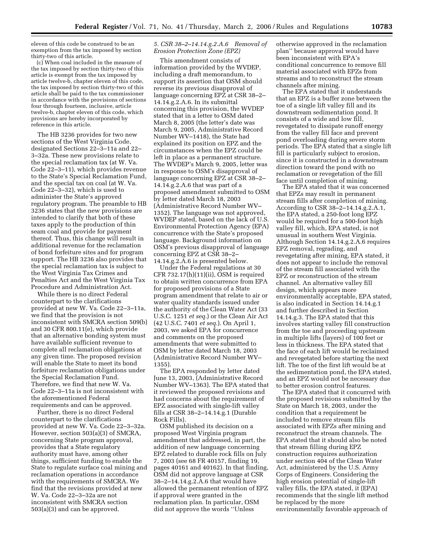eleven of this code be construed to be an exemption from the tax imposed by section thirty-two of this article.

(c) When coal included in the measure of the tax imposed by section thirty-two of this article is exempt from the tax imposed by article twelve-b, chapter eleven of this code, the tax imposed by section thirty-two of this article shall be paid to the tax commissioner in accordance with the provisions of sections four through fourteen, inclusive, article twelve-b, chapter eleven of this code, which provisions are hereby incorporated by reference in this article.

The HB 3236 provides for two new sections of the West Virginia Code, designated Sections 22–3–11a and 22– 3–32a. These new provisions relate to the special reclamation tax (at W. Va. Code 22–3–11), which provides revenue to the State's Special Reclamation Fund, and the special tax on coal (at W. Va. Code 22–3–32), which is used to administer the State's approved regulatory program. The preamble to HB 3236 states that the new provisions are intended to clarify that both of these taxes apply to the production of thin seam coal and provide for payment thereof. Thus, this change will result in additional revenue for the reclamation of bond forfeiture sites and for program support. The HB 3236 also provides that the special reclamation tax is subject to the West Virginia Tax Crimes and Penalties Act and the West Virginia Tax Procedure and Administration Act.

While there is no direct Federal counterpart to the clarifications provided at new W. Va. Code 22–3–11a, we find that the provision is not inconsistent with SMCRA section 509(b) and 30 CFR 800.11(e), which provide that an alternative bonding system must have available sufficient revenue to complete all reclamation obligations at any given time. The proposed revision will enable the State to meet its bond forfeiture reclamation obligations under the Special Reclamation Fund. Therefore, we find that new W. Va. Code 22–3–11a is not inconsistent with the aforementioned Federal requirements and can be approved.

Further, there is no direct Federal counterpart to the clarifications provided at new W. Va. Code 22–3–32a. However, section 503(a)(3) of SMCRA, concerning State program approval, provides that a State regulatory authority must have, among other things, sufficient funding to enable the State to regulate surface coal mining and reclamation operations in accordance with the requirements of SMCRA. We find that the revisions provided at new W. Va. Code 22–3–32a are not inconsistent with SMCRA section 503(a)(3) and can be approved.

# *5. CSR 38–2–14.14.g.2.A.6 Removal of Erosion Protection Zone (EPZ)*

This amendment consists of information provided by the WVDEP, including a draft memorandum, to support its assertion that OSM should reverse its previous disapproval of language concerning EPZ at CSR 38–2– 14.14.g.2.A.6. In its submittal concerning this provision, the WVDEP stated that in a letter to OSM dated March 8, 2005 (the letter's date was March 9, 2005, Administrative Record Number WV–1418), the State had explained its position on EPZ and the circumstances when the EPZ could be left in place as a permanent structure. The WVDEP's March 9, 2005, letter was in response to OSM's disapproval of language concerning EPZ at CSR 38–2– 14.14.g.2.A.6 that was part of a proposed amendment submitted to OSM by letter dated March 18, 2003 (Administrative Record Number WV– 1352). The language was not approved, WVDEP stated, based on the lack of U.S. Environmental Protection Agency (EPA) concurrence with the State's proposed language. Background information on OSM's previous disapproval of language concerning EPZ at CSR 38–2– 14.14.g.2.A.6 is presented below.

Under the Federal regulations at 30 CFR 732.17(h)(11)(ii), OSM is required to obtain written concurrence from EPA for proposed provisions of a State program amendment that relate to air or water quality standards issued under the authority of the Clean Water Act (33 U.S.C. 1251 *et seq.*) or the Clean Air Act (42 U.S.C. 7401 *et seq.*). On April 1, 2003, we asked EPA for concurrence and comments on the proposed amendments that were submitted to OSM by letter dated March 18, 2003 (Administrative Record Number WV– 1355).

The EPA responded by letter dated June 13, 2003, (Administrative Record Number WV–1363). The EPA stated that it reviewed the proposed revisions and had concerns about the requirement of EPZ associated with single-lift valley fills at CSR 38–2–14.14.g.1 (Durable Rock Fills).

OSM published its decision on a proposed West Virginia program amendment that addressed, in part, the addition of new language concerning EPZ related to durable rock fills on July 7, 2003 (see 68 FR 40157, finding 19, pages 40161 and 40162). In that finding, OSM did not approve language at CSR 38–2–14.14.g.2.A.6 that would have allowed the permanent retention of EPZ if approval were granted in the reclamation plan. In particular, OSM did not approve the words ''Unless

otherwise approved in the reclamation plan'' because approval would have been inconsistent with EPA's conditional concurrence to remove fill material associated with EPZs from streams and to reconstruct the stream channels after mining.

The EPA stated that it understands that an EPZ is a buffer zone between the toe of a single lift valley fill and its downstream sedimentation pond. It consists of a wide and low fill, revegetated to dissipate runoff energy from the valley fill face and prevent pond overloading during severe storm periods. The EPA stated that a single lift fill is particularly subject to erosion, since it is constructed in a downstream direction toward the pond with no reclamation or revegetation of the fill face until completion of mining.

The EPA stated that it was concerned that EPZs may result in permanent stream fills after completion of mining. According to CSR 38–2–14.14.g.2.A.1, the EPA stated, a 250-foot long EPZ would be required for a 500-foot high valley fill, which, EPA stated, is not unusual in southern West Virginia. Although Section 14.14.g.2.A.6 requires EPZ removal, regrading, and revegetating after mining, EPA stated, it does not appear to include the removal of the stream fill associated with the EPZ or reconstruction of the stream channel. An alternative valley fill design, which appears more environmentally acceptable, EPA stated, is also indicated in Section 14.14.g.1 and further described in Section 14.14.g.3. The EPA stated that this involves starting valley fill construction from the toe and proceeding upstream in multiple lifts (layers) of 100 feet or less in thickness. The EPA stated that the face of each lift would be reclaimed and revegetated before starting the next lift. The toe of the first lift would be at the sedimentation pond, the EPA stated, and an EPZ would not be necessary due to better erosion control features.

The EPA stated that it concurred with the proposed revisions submitted by the State on March 18, 2003, under the condition that a requirement be included to remove stream fills associated with EPZs after mining and reconstruct the stream channels. The EPA stated that it should also be noted that stream filling during EPZ construction requires authorization under section 404 of the Clean Water Act, administered by the U.S. Army Corps of Engineers. Considering the high erosion potential of single-lift valley fills, the EPA stated, it (EPA) recommends that the single lift method be replaced by the more environmentally favorable approach of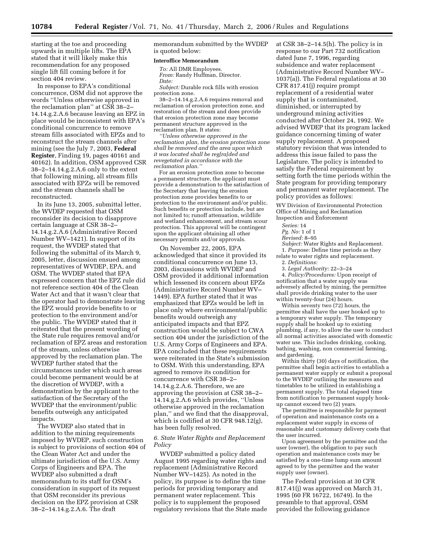starting at the toe and proceeding upwards in multiple lifts. The EPA stated that it will likely make this recommendation for any proposed single lift fill coming before it for section 404 review.

In response to EPA's conditional concurrence, OSM did not approve the words ''Unless otherwise approved in the reclamation plan'' at CSR 38–2– 14.14.g.2.A.6 because leaving an EPZ in place would be inconsistent with EPA's conditional concurrence to remove stream fills associated with EPZs and to reconstruct the stream channels after mining (see the July 7, 2003, **Federal Register**, Finding 19, pages 40161 and 40162). In addition, OSM approved CSR 38–2–14.14.g.2.A.6 only to the extent that following mining, all stream fills associated with EPZs will be removed and the stream channels shall be reconstructed.

In its June 13, 2005, submittal letter, the WVDEP requested that OSM reconsider its decision to disapprove certain language at CSR 38–2– 14.14.g.2.A.6 (Administrative Record Number WV–1421). In support of its request, the WVDEP stated that following the submittal of its March 9, 2005, letter, discussion ensued among representatives of WVDEP, EPA, and OSM. The WVDEP stated that EPA expressed concern that the EPZ rule did not reference section 404 of the Clean Water Act and that it wasn't clear that the operator had to demonstrate leaving the EPZ would provide benefits to or protection to the environment and/or the public. The WVDEP stated that it reiterated that the present wording of the State rule requires removal and/or reclamation of EPZ areas and restoration of the stream, unless otherwise approved by the reclamation plan. The WVDEP further stated that the circumstances under which such areas could become permanent would be at the discretion of WVDEP, with a demonstration by the applicant to the satisfaction of the Secretary of the WVDEP that the environment/public benefits outweigh any anticipated impacts.

The WVDEP also stated that in addition to the mining requirements imposed by WVDEP, such construction is subject to provisions of section 404 of the Clean Water Act and under the ultimate jurisdiction of the U.S. Army Corps of Engineers and EPA. The WVDEP also submitted a draft memorandum to its staff for OSM's consideration in support of its request that OSM reconsider its previous decision on the EPZ provision at CSR 38–2–14.14.g.2.A.6. The draft

memorandum submitted by the WVDEP is quoted below:

#### **Interoffice Memorandum**

*To:* All DMR Employees. *From:* Randy Huffman, Director. *Date: Subject:* Durable rock fills with erosion protection zone.

38–2–14.14.g.2.A.6 requires removal and reclamation of erosion protection zone, and restoration of the stream and does provide that erosion protection zone may become permanent structure approved in the reclamation plan. It states:

*''Unless otherwise approved in the reclamation plan, the erosion protection zone shall be removed and the area upon which it was located shall be reg[ra]ded and revegetated in accordance with the reclamation plan.''*

For an erosion protection zone to become a permanent structure, the applicant must provide a demonstration to the satisfaction of the Secretary that leaving the erosion protection zone provides benefits to or protection to the environment and/or public. Such benefits or protection include, but are not limited to; runoff attenuation, wildlife and wetland enhancement, and stream scour protection. This approval will be contingent upon the applicant obtaining all other necessary permits and/or approvals.

On November 22, 2005, EPA acknowledged that since it provided its conditional concurrence on June 13, 2003, discussions with WVDEP and OSM provided it additional information which lessened its concern about EPZs (Administrative Record Number WV– 1449). EPA further stated that it was emphasized that EPZs would be left in place only where environmental/public benefits would outweigh any anticipated impacts and that EPZ construction would be subject to CWA section 404 under the jurisdiction of the U.S. Army Corps of Engineers and EPA. EPA concluded that these requirements were reiterated in the State's submission to OSM. With this understanding, EPA agreed to remove its condition for concurrence with CSR 38–2– 14.14.g.2.A.6. Therefore, we are approving the provision at CSR 38–2– 14.14.g.2.A.6 which provides, ''Unless otherwise approved in the reclamation plan,'' and we find that the disapproval, which is codified at 30 CFR 948.12(g), has been fully resolved.

# *6. State Water Rights and Replacement Policy*

WVDEP submitted a policy dated August 1995 regarding water rights and replacement (Administrative Record Number WV–1425). As noted in the policy, its purpose is to define the time periods for providing temporary and permanent water replacement. This policy is to supplement the proposed regulatory revisions that the State made at CSR 38–2–14.5(h). The policy is in response to our Part 732 notification dated June 7, 1996, regarding subsidence and water replacement (Administrative Record Number WV– 1037(a)). The Federal regulations at 30 CFR 817.41(j) require prompt replacement of a residential water supply that is contaminated, diminished, or interrupted by underground mining activities conducted after October 24, 1992. We advised WVDEP that its program lacked guidance concerning timing of water supply replacement. A proposed statutory revision that was intended to address this issue failed to pass the Legislature. The policy is intended to satisfy the Federal requirement by setting forth the time periods within the State program for providing temporary and permanent water replacement. The policy provides as follows:

WV Division of Environmental Protection Office of Mining and Reclamation Inspection and Enforcement

*Series:* 14

*Pg. No:* 1 of 1

*Revised:* 8–95

*Subject:* Water Rights and Replacement. 1. *Purpose:* Define time periods as they

relate to water rights and replacement. 2. *Definitions:* 

3. *Legal Authority:* 22–3–24

4. *Policy/Procedures:* Upon receipt of notification that a water supply was adversely affected by mining, the permittee shall provide drinking water to the user within twenty-four (24) hours.

Within seventy two (72) hours, the permittee shall have the user hooked up to a temporary water supply. The temporary supply shall be hooked up to existing plumbing, if any, to allow the user to conduct all normal activities associated with domestic water use. This includes drinking, cooking, bathing, washing, non commercial farming, and gardening.

Within thirty (30) days of notification, the permittee shall begin activities to establish a permanent water supply or submit a proposal to the WVDEP outlining the measures and timetables to be utilized in establishing a permanent supply. The total elapsed time from notification to permanent supply hookup cannot exceed two (2) years.

The permittee is responsible for payment of operation and maintenance costs on a replacement water supply in excess of reasonable and customary delivery costs that the user incurred.

Upon agreement by the permittee and the user (owner), the obligation to pay such operation and maintenance costs may be satisfied by a one-time lump sum amount agreed to by the permittee and the water supply user (owner).

The Federal provision at 30 CFR 817.41(j) was approved on March 31, 1995 (60 FR 16722, 16749). In the preamble to that approval, OSM provided the following guidance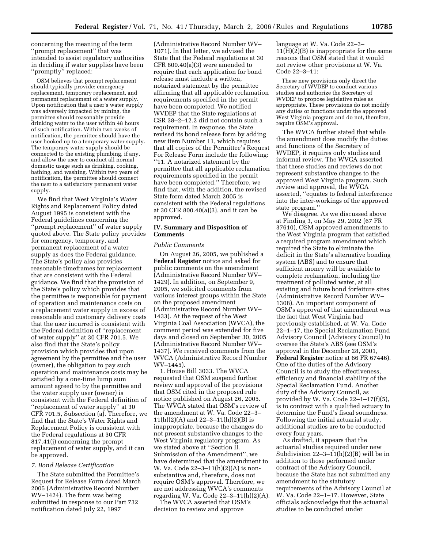concerning the meaning of the term ''prompt replacement'' that was intended to assist regulatory authorities in deciding if water supplies have been "promptly" replaced:

OSM believes that prompt replacement should typically provide: emergency replacement, temporary replacement, and permanent replacement of a water supply. Upon notification that a user's water supply was adversely impacted by mining, the permittee should reasonably provide drinking water to the user within 48 hours of such notification. Within two weeks of notification, the permittee should have the user hooked up to a temporary water supply. The temporary water supply should be connected to the existing plumbing, if any, and allow the user to conduct all normal domestic usage such as drinking, cooking, bathing, and washing. Within two years of notification, the permittee should connect the user to a satisfactory permanent water supply.

We find that West Virginia's Water Rights and Replacement Policy dated August 1995 is consistent with the Federal guidelines concerning the ''prompt replacement'' of water supply quoted above. The State policy provides for emergency, temporary, and permanent replacement of a water supply as does the Federal guidance. The State's policy also provides reasonable timeframes for replacement that are consistent with the Federal guidance. We find that the provision of the State's policy which provides that the permittee is responsible for payment of operation and maintenance costs on a replacement water supply in excess of reasonable and customary delivery costs that the user incurred is consistent with the Federal definition of ''replacement of water supply'' at 30 CFR 701.5. We also find that the State's policy provision which provides that upon agreement by the permittee and the user (owner), the obligation to pay such operation and maintenance costs may be satisfied by a one-time lump sum amount agreed to by the permittee and the water supply user (owner) is consistent with the Federal definition of ''replacement of water supply'' at 30 CFR 701.5, Subsection (a). Therefore, we find that the State's Water Rights and Replacement Policy is consistent with the Federal regulations at 30 CFR 817.41(j) concerning the prompt replacement of water supply, and it can be approved.

#### *7. Bond Release Certification*

The State submitted the Permittee's Request for Release Form dated March 2005 (Administrative Record Number WV–1424). The form was being submitted in response to our Part 732 notification dated July 22, 1997

(Administrative Record Number WV– 1071). In that letter, we advised the State that the Federal regulations at 30 CFR 800.40(a)(3) were amended to require that each application for bond release must include a written, notarized statement by the permittee affirming that all applicable reclamation requirements specified in the permit have been completed. We notified WVDEP that the State regulations at CSR 38–2–12.2 did not contain such a requirement. In response, the State revised its bond release form by adding new item Number 11, which requires that all copies of the Permittee's Request For Release Form include the following: ''11. A notarized statement by the permittee that all applicable reclamation requirements specified in the permit have been completed.'' Therefore, we find that, with the addition, the revised State form dated March 2005 is consistent with the Federal regulations at 30 CFR 800.40(a)(3), and it can be approved.

# **IV. Summary and Disposition of Comments**

# *Public Comments*

On August 26, 2005, we published a **Federal Register** notice and asked for public comments on the amendment (Administrative Record Number WV– 1429). In addition, on September 9, 2005, we solicited comments from various interest groups within the State on the proposed amendment (Administrative Record Number WV– 1433). At the request of the West Virginia Coal Association (WVCA), the comment period was extended for five days and closed on September 30, 2005 (Administrative Record Number WV– 1437). We received comments from the WVCA (Administrative Record Number WV–1445).

1. House Bill 3033. The WVCA requested that OSM suspend further review and approval of the provisions that OSM cited in the proposed rule notice published on August 26, 2005. The WVCA stated that OSM's review of the amendment at W. Va. Code 22–3–  $11(h)(2)(A)$  and  $22-3-11(h)(2)(B)$  is inappropriate, because the changes do not present substantive changes to the West Virginia regulatory program. As we stated above at ''Section II. Submission of the Amendment'', we have determined that the amendment to W. Va. Code 22–3–11(h)(2)(A) is nonsubstantive and, therefore, does not require OSM's approval. Therefore, we are not addressing WVCA's comments regarding W. Va. Code 22–3–11(h)(2)(A).

The WVCA asserted that OSM's decision to review and approve

language at W. Va. Code 22–3– 11(H)(2)(B) is inappropriate for the same reasons that OSM stated that it would not review other provisions at W. Va. Code 22–3–11:

These new provisions only direct the Secretary of WVDEP to conduct various studies and authorize the Secretary of WVDEP to propose legislative rules as appropriate. These provisions do not modify any duties or functions under the approved West Virginia program and do not, therefore, require OSM's approval.

The WVCA further stated that while the amendment does modify the duties and functions of the Secretary of WVDEP, it requires only studies and informal review. The WVCA asserted that these studies and reviews do not represent substantive changes to the approved West Virginia program. Such review and approval, the WVCA asserted, ''equates to federal interference into the inter-workings of the approved state program.''

We disagree. As we discussed above at Finding 3, on May 29, 2002 (67 FR 37610), OSM approved amendments to the West Virginia program that satisfied a required program amendment which required the State to eliminate the deficit in the State's alternative bonding system (ABS) and to ensure that sufficient money will be available to complete reclamation, including the treatment of polluted water, at all existing and future bond forfeiture sites (Administrative Record Number WV– 1308). An important component of OSM's approval of that amendment was the fact that West Virginia had previously established, at W. Va. Code 22–1–17, the Special Reclamation Fund Advisory Council (Advisory Council) to oversee the State's ABS (see OSM's approval in the December 28, 2001, **Federal Register** notice at 66 FR 67446). One of the duties of the Advisory Council is to study the effectiveness, efficiency and financial stability of the Special Reclamation Fund. Another duty of the Advisory Council, as provided by W. Va. Code  $22-1-17(f)(5)$ , is to contract with a qualified actuary to determine the Fund's fiscal soundness. Following the initial actuarial study, additional studies are to be conducted every four years.

As drafted, it appears that the actuarial studies required under new Subdivision 22–3–11(h)(2)(B) will be in addition to those performed under contract of the Advisory Council, because the State has not submitted any amendment to the statutory requirements of the Advisory Council at W. Va. Code 22–1–17. However, State officials acknowledge that the actuarial studies to be conducted under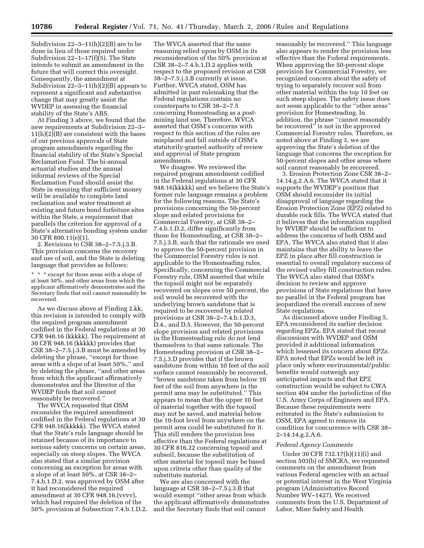Subdivision  $22-3-11(h)(2)(B)$  are to be done in lieu of those required under Subdivision 22–1–17(f)(5). The State intends to submit an amendment in the future that will correct this oversight. Consequently, the amendment at Subdivision  $22-3-11(h)(2)(B)$  appears to represent a significant and substantive change that may greatly assist the WVDEP in assessing the financial stability of the State's ABS.

At Finding 3 above, we found that the new requirements at Subdivision 22–3– 11(h)(2)(B) are consistent with the bases of our previous approvals of State program amendments regarding the financial stability of the State's Special Reclamation Fund. The bi-annual actuarial studies and the annual informal reviews of the Special Reclamation Fund should assist the State in ensuring that sufficient money will be available to complete land reclamation and water treatment at existing and future bond forfeiture sites within the State, a requirement that parallels the criterion for approval of a State's alternative bonding system under 30 CFR 800.11(e)(1).

2. Revisions to CSR 38–2–7.5.j.3.B. This provision concerns the recovery and use of soil, and the State is deleting language that provides as follows:

\* \* \* except for those areas with a slope of at least 50%, and other areas from which the applicant affirmatively demonstrates and the Secretary finds that soil cannot reasonably be recovered.

As we discuss above at Finding 2.kk, this revision is intended to comply with the required program amendment codified in the Federal regulations at 30 CFR 948.16 (kkkkk). The requirement at 30 CFR 948.16 (kkkkk) provides that CSR 38–2–7.5.j.3.B must be amended by deleting the phrase, ''except for those areas with a slope of at least 50%,'' and by deleting the phrase, ''and other areas from which the applicant affirmatively demonstrates and the Director of the WVDEP finds that soil cannot reasonably be recovered.''

The WVCA requested that OSM reconsider the required amendment codified in the Federal regulations at 30 CFR 948.16(kkkkk). The WVCA stated that the State's rule language should be retained because of its importance to serious safety concerns on certain areas, especially on steep slopes. The WVCA also stated that a similar provision concerning an exception for areas with a slope of at least 50%, at CSR 38–2– 7.4.b.1.D.2, was approved by OSM after it had reconsidered the required amendment at 30 CFR 948.16.(vvvv), which had required the deletion of the 50% provision at Subsection 7.4.b.1.D.2.

The WVCA asserted that the same reasoning relied upon by OSM in its reconsideration of the 50% provision at CSR 38–2–7.4.b.1.D.2 applies with respect to the proposed revision at CSR 38–2–7.5.j.3.B currently at issue. Further, WVCA stated, OSM has admitted in past rulemaking that the Federal regulations contain no counterparts to CSR 38–2–7.5 concerning Homesteading as a postmining land use. Therefore, WVCA asserted that OSM's concerns with respect to this section of the rules are misplaced and fall outside of OSM's statutorily-granted authority of review and approval of State program amendments.

We disagree. We reviewed the required program amendment codified in the Federal regulations at 30 CFR 948.16(kkkkk) and we believe the State's former rule language remains a problem for the following reasons. The State's provisions concerning the 50-percent slope and related provisions for Commercial Forestry, at CSR 38–2– 7.4.b.1.D.2, differ significantly from those for Homesteading, at CSR 38–2– 7.5.j.3.B, such that the rationale we used to approve the 50-percent provision in the Commercial Forestry rules is not applicable to the Homesteading rules. Specifically, concerning the Commercial Forestry rule, OSM asserted that while the topsoil might not be separately recovered on slopes over 50 percent, the soil would be recovered with the underlying brown sandstone that is required to be recovered by related provisions at CSR 38–2–7.4.b.1.D.3, D.4., and D.5. However, the 50-percent slope provision and related provisions in the Homesteading rule do not lend themselves to that same rationale. The Homesteading provision at CSR 38–2– 7.5.j.3.D provides that if the brown sandstone from within 10 feet of the soil surface cannot reasonably be recovered, ''brown sandstone taken from below 10 feet of the soil from anywhere in the permit area may be substituted.'' This appears to mean that the upper 10 feet of material together with the topsoil may not be saved, and material below the 10-foot level from anywhere on the permit area could be substituted for it. This still renders the provision less effective than the Federal regulations at 30 CFR 816.22 concerning topsoil and subsoil, because the substitution of other material for topsoil may be based upon criteria other than quality of the substitute material.

We are also concerned with the language at CSR 38–2–7.5.j.3.B that would exempt ''other areas from which the applicant affirmatively demonstrates and the Secretary finds that soil cannot

reasonably be recovered.'' This language also appears to render the provision less effective than the Federal requirements. When approving the 50-percent slope provision for Commercial Forestry, we recognized concern about the safety of trying to separately recover soil from other material within the top 10 feet on such steep slopes. The safety issue does not seem applicable to the ''other areas'' provision for Homesteading. In addition, the phrase ''cannot reasonably be recovered'' is not in the approved Commercial Forestry rules. Therefore, as noted above at Finding 3, we are approving the State's deletion of the language that concerns the exception for 50-percent slopes and other areas where soil cannot reasonably be recovered.

3. Erosion Protection Zone CSR 38–2– 14.14.g.2.A.6. The WVCA stated that it supports the WVDEP's position that OSM should reconsider its initial disapproval of language regarding the Erosion Protection Zone (EPZ) related to durable rock fills. The WVCA stated that it believes that the information supplied by WVDEP should be sufficient to address the concerns of both OSM and EPA. The WVCA also stated that it also maintains that the ability to leave the EPZ in place after fill construction is essential to overall regulatory success of the revised valley fill construction rules. The WVCA also stated that OSM's decision to review and approve provisions of State regulations that have no parallel in the Federal program has jeopardized the overall success of new State regulations.

As discussed above under Finding 5, EPA reconsidered its earlier decision regarding EPZs. EPA stated that recent discussions with WVDEP and OSM provided it additional information which lessened its concern about EPZs. EPA noted that EPZs would be left in place only where environmental/public benefits would outweigh any anticipated impacts and that EPZ construction would be subject to CWA section 404 under the jurisdiction of the U.S. Army Corps of Engineers and EPA. Because these requirements were reiterated in the State's submission to OSM, EPA agreed to remove its condition for concurrence with CSR 38– 2–14.14.g.2.A.6.

#### *Federal Agency Comments*

Under 30 CFR 732.17(h)(11)(i) and section 503(b) of SMCRA, we requested comments on the amendment from various Federal agencies with an actual or potential interest in the West Virginia program (Administrative Record Number WV–1427). We received comments from the U.S. Department of Labor, Mine Safety and Health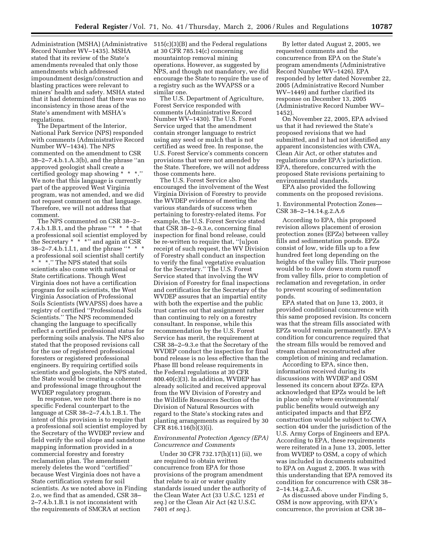Record Number WV–1435). MSHA stated that its review of the State's amendments revealed that only those amendments which addressed impoundment design/construction and blasting practices were relevant to miners' health and safety. MSHA stated that it had determined that there was no inconsistency in those areas of the State's amendment with MSHA's regulations.

The Department of the Interior, National Park Service (NPS) responded with comments (Administrative Record Number WV–1434). The NPS commented on the amendment to CSR 38–2–7.4.b.1.A.3(b), and the phrase ''an approved geologist shall create a certified geology map showing \* We note that this language is currently part of the approved West Virginia program, was not amended, and we did not request comment on that language. Therefore, we will not address that comment.

The NPS commented on CSR 38–2– 7.4.b.1.B.1, and the phrase "\*  $*$  \* that a professional soil scientist employed by the Secretary \* \* \*'' and again at CSR 38–2–7.4.b.1.I.1, and the phrase ''\* \* \* a professional soil scientist shall certify \* \* \*.'' The NPS stated that soils scientists also come with national or State certifications. Though West Virginia does not have a certification program for soils scientists, the West Virginia Association of Professional Soils Scientists (WVAPSS) does have a registry of certified ''Professional Soils Scientists.'' The NPS recommended changing the language to specifically reflect a certified professional status for performing soils analysis. The NPS also stated that the proposed revisions call for the use of registered professional foresters or registered professional engineers. By requiring certified soils scientists and geologists, the NPS stated, the State would be creating a coherent and professional image throughout the WVDEP regulatory program.

In response, we note that there is no specific Federal counterpart to the language at CSR 38–2–7.4.b.1.B.1. The intent of this provision is to require that a professional soil scientist employed by the Secretary of the WVDEP review and field verify the soil slope and sandstone mapping information provided in a commercial forestry and forestry reclamation plan. The amendment merely deletes the word ''certified'' because West Virginia does not have a State certification system for soil scientists. As we noted above in Finding 2.o, we find that as amended, CSR 38– 2–7.4.b.1.B.1 is not inconsistent with the requirements of SMCRA at section

Administration (MSHA) (Administrative 515(c)(3)(B) and the Federal regulations at 30 CFR 785.14(c) concerning mountaintop removal mining operations. However, as suggested by NPS, and though not mandatory, we did encourage the State to require the use of a registry such as the WVAPSS or a similar one.

> The U.S. Department of Agriculture, Forest Service responded with comments (Administrative Record Number WV–1430). The U.S. Forest Service urged that the amendment contain stronger language to restrict using any seed or mulch that is not certified as weed free. In response, the U.S. Forest Service's comments concern provisions that were not amended by the State. Therefore, we will not address those comments here.

> The U.S. Forest Service also encouraged the involvement of the West Virginia Division of Forestry to provide the WVDEP evidence of meeting the various standards of success when pertaining to forestry-related items. For example, the U.S. Forest Service stated that CSR 38–2–9.3.e, concerning final inspection for final bond release, could be re-written to require that, ''[u]pon receipt of such request, the WV Division of Forestry shall conduct an inspection to verify the final vegetative evaluation for the Secretary.'' The U.S. Forest Service stated that involving the WV Division of Forestry for final inspections and certification for the Secretary of the WVDEP assures that an impartial entity with both the expertise and the public trust carries out that assignment rather than continuing to rely on a forestry consultant. In response, while this recommendation by the U.S. Forest Service has merit, the requirement at CSR 38–2–9.3.e that the Secretary of the WVDEP conduct the inspection for final bond release is no less effective than the Phase III bond release requirements in the Federal regulations at 30 CFR 800.40(c)(3). In addition, WVDEP has already solicited and received approval from the WV Division of Forestry and the Wildlife Resources Section of the Division of Natural Resources with regard to the State's stocking rates and planting arrangements as required by 30 CFR 816.116(b)(3)(i).

# *Environmental Protection Agency (EPA) Concurrence and Comments*

Under 30 CFR 732.17(h)(11) (ii), we are required to obtain written concurrence from EPA for those provisions of the program amendment that relate to air or water quality standards issued under the authority of the Clean Water Act (33 U.S.C. 1251 *et seq.*) or the Clean Air Act (42 U.S.C. 7401 *et seq.*).

By letter dated August 2, 2005, we requested comments and the concurrence from EPA on the State's program amendments (Administrative Record Number WV–1426). EPA responded by letter dated November 22, 2005 (Administrative Record Number WV–1449) and further clarified its response on December 13, 2005 (Administrative Record Number WV– 1452).

On November 22, 2005, EPA advised us that it had reviewed the State's proposed revisions that we had submitted, and it had not identified any apparent inconsistencies with CWA, Clean Air Act, or other statutes and regulations under EPA's jurisdiction. EPA, therefore, concurred with the proposed State revisions pertaining to environmental standards.

EPA also provided the following comments on the proposed revisions.

1. Environmental Protection Zones— CSR 38–2–14.14.g.2.A.6

According to EPA, this proposed revision allows placement of erosion protection zones (EPZs) between valley fills and sedimentation ponds. EPZs consist of low, wide fills up to a few hundred feet long depending on the heights of the valley fills. Their purpose would be to slow down storm runoff from valley fills, prior to completion of reclamation and revegetation, in order to prevent scouring of sedimentation ponds.

EPA stated that on June 13, 2003, it provided conditional concurrence with this same proposed revision. Its concern was that the stream fills associated with EPZs would remain permanently. EPA's condition for concurrence required that the stream fills would be removed and stream channel reconstructed after completion of mining and reclamation.

According to EPA, since then, information received during its discussions with WVDEP and OSM lessened its concern about EPZs. EPA acknowledged that EPZs would be left in place only where environmental/ public benefits would outweigh any anticipated impacts and that EPZ construction would be subject to CWA section 404 under the jurisdiction of the U.S. Army Corps of Engineers and EPA. According to EPA, these requirements were reiterated in a June 13, 2005, letter from WVDEP to OSM, a copy of which was included in documents submitted to EPA on August 2, 2005. It was with this understanding that EPA removed its condition for concurrence with CSR 38– 2–14.14.g.2.A.6.

As discussed above under Finding 5, OSM is now approving, with EPA's concurrence, the provision at CSR 38–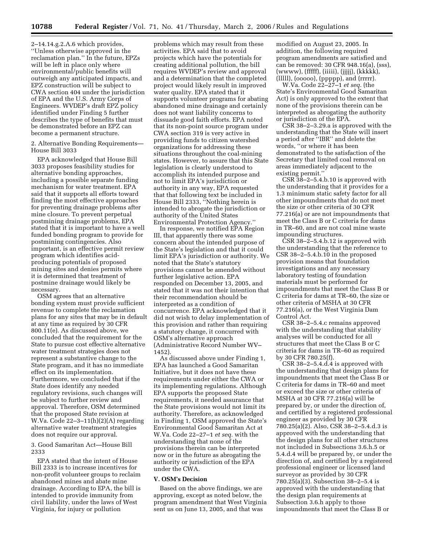2–14.14.g.2.A.6 which provides, ''Unless otherwise approved in the reclamation plan.'' In the future, EPZs will be left in place only where environmental/public benefits will outweigh any anticipated impacts, and EPZ construction will be subject to CWA section 404 under the jurisdiction of EPA and the U.S. Army Corps of Engineers. WVDEP's draft EPZ policy identified under Finding 5 further describes the type of benefits that must be demonstrated before an EPZ can become a permanent structure.

2. Alternative Bonding Requirements— House Bill 3033

EPA acknowledged that House Bill 3033 proposes feasibility studies for alternative bonding approaches, including a possible separate funding mechanism for water treatment. EPA said that it supports all efforts toward finding the most effective approaches for preventing drainage problems after mine closure. To prevent perpetual postmining drainage problems, EPA stated that it is important to have a well funded bonding program to provide for postmining contingencies. Also important, is an effective permit review program which identifies acidproducing potentials of proposed mining sites and denies permits where it is determined that treatment of postmine drainage would likely be necessary.

OSM agrees that an alternative bonding system must provide sufficient revenue to complete the reclamation plans for any sites that may be in default at any time as required by 30 CFR 800.11(e). As discussed above, we concluded that the requirement for the State to pursue cost effective alternative water treatment strategies does not represent a substantive change to the State program, and it has no immediate effect on its implementation. Furthermore, we concluded that if the State does identify any needed regulatory revisions, such changes will be subject to further review and approval. Therefore, OSM determined that the proposed State revision at W.Va. Code 22–3–11(h)(2)(A) regarding alternative water treatment strategies does not require our approval.

3. Good Samaritan Act—House Bill 2333

EPA stated that the intent of House Bill 2333 is to increase incentives for non-profit volunteer groups to reclaim abandoned mines and abate mine drainage. According to EPA, the bill is intended to provide immunity from civil liability, under the laws of West Virginia, for injury or pollution

problems which may result from these activities. EPA said that to avoid projects which have the potentials for creating additional pollution, the bill requires WVDEP's review and approval and a determination that the completed project would likely result in improved water quality. EPA stated that it supports volunteer programs for abating abandoned mine drainage and certainly does not want liability concerns to dissuade good faith efforts. EPA noted that its non-point source program under CWA section 319 is very active in providing funds to citizen watershed organizations for addressing these situations throughout the coal-mining states. However, to assure that this State legislation is clearly understood to accomplish its intended purpose and not to limit EPA's jurisdiction or authority in any way, EPA requested that that following text be included in House Bill 2333, ''Nothing herein is intended to abrogate the jurisdiction or authority of the United States Environmental Protection Agency.''

In response, we notified EPA Region III, that apparently there was some concern about the intended purpose of the State's legislation and that it could limit EPA's jurisdiction or authority. We noted that the State's statutory provisions cannot be amended without further legislative action. EPA responded on December 13, 2005, and stated that it was not their intention that their recommendation should be interpreted as a condition of concurrence. EPA acknowledged that it did not wish to delay implementation of this provision and rather than requiring a statutory change, it concurred with OSM's alternative approach (Administrative Record Number WV– 1452).

As discussed above under Finding 1, EPA has launched a Good Samaritan Initiative, but it does not have these requirements under either the CWA or its implementing regulations. Although EPA supports the proposed State requirements, it needed assurance that the State provisions would not limit its authority. Therefore, as acknowledged in Finding 1, OSM approved the State's Environmental Good Samaritan Act at W.Va. Code 22–27–1 *et seq.* with the understanding that none of the provisions therein can be interpreted now or in the future as abrogating the authority or jurisdiction of the EPA under the CWA.

#### **V. OSM's Decision**

Based on the above findings, we are approving, except as noted below, the program amendment that West Virginia sent us on June 13, 2005, and that was

modified on August 23, 2005. In addition, the following required program amendments are satisfied and can be removed: 30 CFR 948.16(a), (sss), (wwww), (fffff), (iiiii), (jjjjj), (kkkkk), (lllll), (ooooo), (ppppp), and (rrrrr).

W.Va. Code 22–27–1 *et seq.* (the State's Environmental Good Samaritan Act) is only approved to the extent that none of the provisions therein can be interpreted as abrogating the authority or jurisdiction of the EPA.

CSR 38–2–3.29.a is approved with the understanding that the State will insert a period after ''IBR'' and delete the words, ''or where it has been demonstrated to the satisfaction of the Secretary that limited coal removal on areas immediately adjacent to the existing permit.''

CSR 38–2–5.4.b.10 is approved with the understanding that it provides for a 1.3 minimum static safety factor for all other impoundments that do not meet the size or other criteria of 30 CFR 77.216(a) or are not impoundments that meet the Class B or C criteria for dams in TR–60, and are not coal mine waste impounding structures.

 $\overline{C}$ SR 38– $\overline{2}$ –5.4.b.12 is approved with the understanding that the reference to CSR 38–2–5.4.b.10 in the proposed provision means that foundation investigations and any necessary laboratory testing of foundation materials must be performed for impoundments that meet the Class B or C criteria for dams at TR–60, the size or other criteria of MSHA at 30 CFR 77.216(a), or the West Virginia Dam Control Act.

CSR 38–2–5.4.c remains approved with the understanding that stability analyses will be conducted for all structures that meet the Class B or C criteria for dams in TR–60 as required by 30 CFR 780.25(f).

CSR 38–2–5.4.d.4 is approved with the understanding that design plans for impoundments that meet the Class B or C criteria for dams in TR–60 and meet or exceed the size or other criteria of MSHA at 30 CFR 77.216(a) will be prepared by, or under the direction of, and certified by a registered professional engineer as provided by 30 CFR 780.25(a)(2). Also, CSR 38–2–5.4.d.3 is approved with the understanding that the design plans for all other structures not included in Subsections 3.6.h.5 or 5.4.d.4 will be prepared by, or under the direction of, and certified by a registered professional engineer or licensed land surveyor as provided by 30 CFR 780.25(a)(3). Subsection 38–2–5.4 is approved with the understanding that the design plan requirements at Subsection 3.6.h apply to those impoundments that meet the Class B or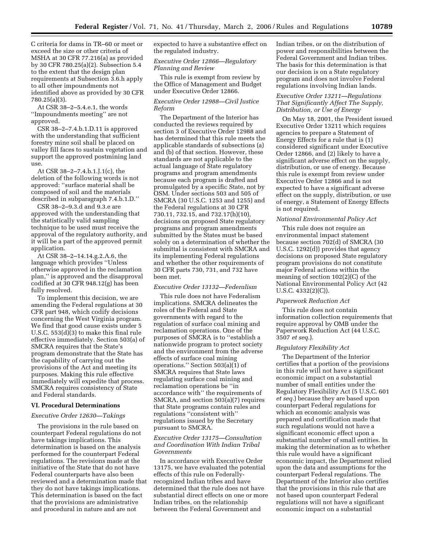C criteria for dams in TR–60 or meet or exceed the size or other criteria of MSHA at 30 CFR 77.216(a) as provided by 30 CFR 780.25(a)(2). Subsection 5.4 to the extent that the design plan requirements at Subsection 3.6.h apply to all other impoundments not identified above as provided by 30 CFR 780.25(a)(3).

At CSR 38–2–5.4.e.1, the words ''Impoundments meeting'' are not approved.

CSR 38–2–7.4.b.1.D.11 is approved with the understanding that sufficient forestry mine soil shall be placed on valley fill faces to sustain vegetation and support the approved postmining land use.

At CSR 38–2–7.4.b.1.J.1(c), the deletion of the following words is not approved: ''surface material shall be composed of soil and the materials described in subparagraph 7.4.b.1.D.''

CSR 38–2–9.3.d and 9.3.e are approved with the understanding that the statistically valid sampling technique to be used must receive the approval of the regulatory authority, and it will be a part of the approved permit application.

At CSR 38–2–14.14.g.2.A.6, the language which provides ''Unless otherwise approved in the reclamation plan,'' is approved and the disapproval codified at 30 CFR 948.12(g) has been fully resolved.

To implement this decision, we are amending the Federal regulations at 30 CFR part 948, which codify decisions concerning the West Virginia program. We find that good cause exists under 5 U.S.C. 553(d)(3) to make this final rule effective immediately. Section 503(a) of SMCRA requires that the State's program demonstrate that the State has the capability of carrying out the provisions of the Act and meeting its purposes. Making this rule effective immediately will expedite that process. SMCRA requires consistency of State and Federal standards.

#### **VI. Procedural Determinations**

#### *Executive Order 12630—Takings*

The provisions in the rule based on counterpart Federal regulations do not have takings implications. This determination is based on the analysis performed for the counterpart Federal regulations. The revisions made at the initiative of the State that do not have Federal counterparts have also been reviewed and a determination made that they do not have takings implications. This determination is based on the fact that the provisions are administrative and procedural in nature and are not

expected to have a substantive effect on the regulated industry.

# *Executive Order 12866—Regulatory Planning and Review*

This rule is exempt from review by the Office of Management and Budget under Executive Order 12866.

# *Executive Order 12988—Civil Justice Reform*

The Department of the Interior has conducted the reviews required by section 3 of Executive Order 12988 and has determined that this rule meets the applicable standards of subsections (a) and (b) of that section. However, these standards are not applicable to the actual language of State regulatory programs and program amendments because each program is drafted and promulgated by a specific State, not by OSM. Under sections 503 and 505 of SMCRA (30 U.S.C. 1253 and 1255) and the Federal regulations at 30 CFR 730.11, 732.15, and 732.17(h)(10), decisions on proposed State regulatory programs and program amendments submitted by the States must be based solely on a determination of whether the submittal is consistent with SMCRA and its implementing Federal regulations and whether the other requirements of 30 CFR parts 730, 731, and 732 have been met.

#### *Executive Order 13132—Federalism*

This rule does not have Federalism implications. SMCRA delineates the roles of the Federal and State governments with regard to the regulation of surface coal mining and reclamation operations. One of the purposes of SMCRA is to ''establish a nationwide program to protect society and the environment from the adverse effects of surface coal mining operations.'' Section 503(a)(1) of SMCRA requires that State laws regulating surface coal mining and reclamation operations be ''in accordance with'' the requirements of SMCRA, and section 503(a)(7) requires that State programs contain rules and regulations ''consistent with'' regulations issued by the Secretary pursuant to SMCRA.

# *Executive Order 13175—Consultation and Coordination With Indian Tribal Governments*

In accordance with Executive Order 13175, we have evaluated the potential effects of this rule on Federallyrecognized Indian tribes and have determined that the rule does not have substantial direct effects on one or more Indian tribes, on the relationship between the Federal Government and

Indian tribes, or on the distribution of power and responsibilities between the Federal Government and Indian tribes. The basis for this determination is that our decision is on a State regulatory program and does not involve Federal regulations involving Indian lands.

# *Executive Order 13211—Regulations That Significantly Affect The Supply, Distribution, or Use of Energy*

On May 18, 2001, the President issued Executive Order 13211 which requires agencies to prepare a Statement of Energy Effects for a rule that is (1) considered significant under Executive Order 12866, and (2) likely to have a significant adverse effect on the supply, distribution, or use of energy. Because this rule is exempt from review under Executive Order 12866 and is not expected to have a significant adverse effect on the supply, distribution, or use of energy, a Statement of Energy Effects is not required.

#### *National Environmental Policy Act*

This rule does not require an environmental impact statement because section 702(d) of SMCRA (30 U.S.C. 1292(d)) provides that agency decisions on proposed State regulatory program provisions do not constitute major Federal actions within the meaning of section 102(2)(C) of the National Environmental Policy Act (42 U.S.C. 4332(2)(C)).

#### *Paperwork Reduction Act*

This rule does not contain information collection requirements that require approval by OMB under the Paperwork Reduction Act (44 U.S.C. 3507 *et seq.*).

#### *Regulatory Flexibility Act*

The Department of the Interior certifies that a portion of the provisions in this rule will not have a significant economic impact on a substantial number of small entities under the Regulatory Flexibility Act (5 U.S.C. 601 *et seq.*) because they are based upon counterpart Federal regulations for which an economic analysis was prepared and certification made that such regulations would not have a significant economic effect upon a substantial number of small entities. In making the determination as to whether this rule would have a significant economic impact, the Department relied upon the data and assumptions for the counterpart Federal regulations. The Department of the Interior also certifies that the provisions in this rule that are not based upon counterpart Federal regulations will not have a significant economic impact on a substantial